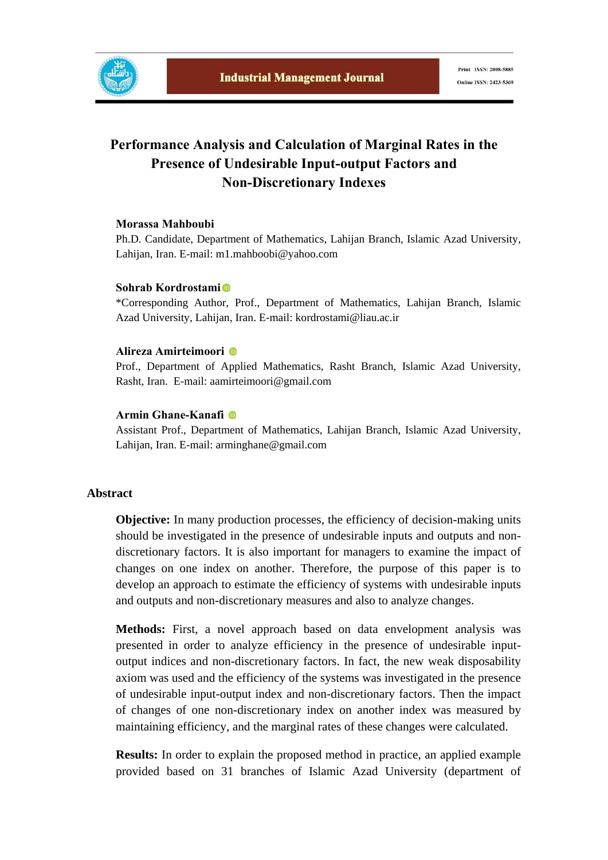

## **Performance Analysis and Calculation of Marginal Rates in the Presence of Undesirable Input-output Factors and Non-Discretionary Indexes**

## **Morassa Mahboubi**

Ph.D. Candidate, Department of Mathematics, Lahijan Branch, Islamic Azad University, Lahijan, Iran. E-mail: m1.mahboobi@yahoo.com

## **Sohrab Kordrostami**

\*Corresponding Author, Prof., Department of Mathematics, Lahijan Branch, Islamic Azad University, Lahijan, Iran. E-mail: kordrostami@liau.ac.ir

## **Alireza Amirteimoori**

Prof., Department of Applied Mathematics, Rasht Branch, Islamic Azad University, Rasht, Iran. E-mail: aamirteimoori@gmail.com

## **Armin Ghane-Kanafi**

Assistant Prof., Department of Mathematics, Lahijan Branch, Islamic Azad University, Lahijan, Iran. E-mail: arminghane@gmail.com

## **Abstract**

**Objective:** In many production processes, the efficiency of decision-making units should be investigated in the presence of undesirable inputs and outputs and nondiscretionary factors. It is also important for managers to examine the impact of changes on one index on another. Therefore, the purpose of this paper is to develop an approach to estimate the efficiency of systems with undesirable inputs and outputs and non-discretionary measures and also to analyze changes.

**Methods:** First, a novel approach based on data envelopment analysis was presented in order to analyze efficiency in the presence of undesirable inputoutput indices and non-discretionary factors. In fact, the new weak disposability axiom was used and the efficiency of the systems was investigated in the presence of undesirable input-output index and non-discretionary factors. Then the impact of changes of one non-discretionary index on another index was measured by maintaining efficiency, and the marginal rates of these changes were calculated.

**Results:** In order to explain the proposed method in practice, an applied example provided based on 31 branches of Islamic Azad University (department of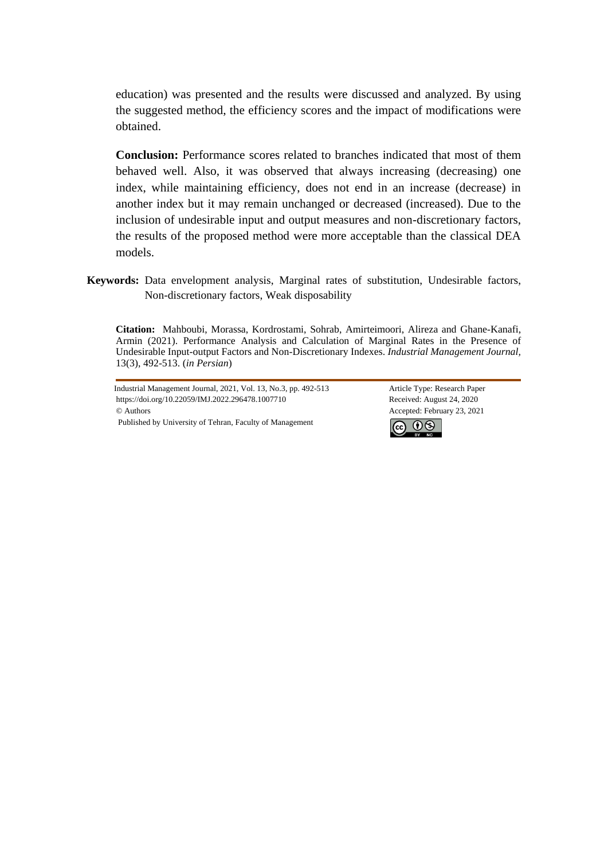education) was presented and the results were discussed and analyzed. By using the suggested method, the efficiency scores and the impact of modifications were obtained.

**Conclusion:** Performance scores related to branches indicated that most of them behaved well. Also, it was observed that always increasing (decreasing) one index, while maintaining efficiency, does not end in an increase (decrease) in another index but it may remain unchanged or decreased (increased). Due to the inclusion of undesirable input and output measures and non-discretionary factors, the results of the proposed method were more acceptable than the classical DEA models.

**Keywords:** Data envelopment analysis, Marginal rates of substitution, Undesirable factors, Non-discretionary factors, Weak disposability

**Citation:** Mahboubi, Morassa, Kordrostami, Sohrab, Amirteimoori, Alireza and Ghane-Kanafi, Armin (2021). Performance Analysis and Calculation of Marginal Rates in the Presence of Undesirable Input-output Factors and Non-Discretionary Indexes. *Industrial Management Journal,* 13(3), 492-513. (*in Persian*)

Industrial Management Journal, 2021, Vol. 13, No.3, pp. 492-513 Article Type: Research Paper https://doi.org/10.22059/IMJ.2022.296478.1007710 Received: August 24, 2020 © Authors Accepted: February 23, 2021 Published by University of Tehran, Faculty of Management

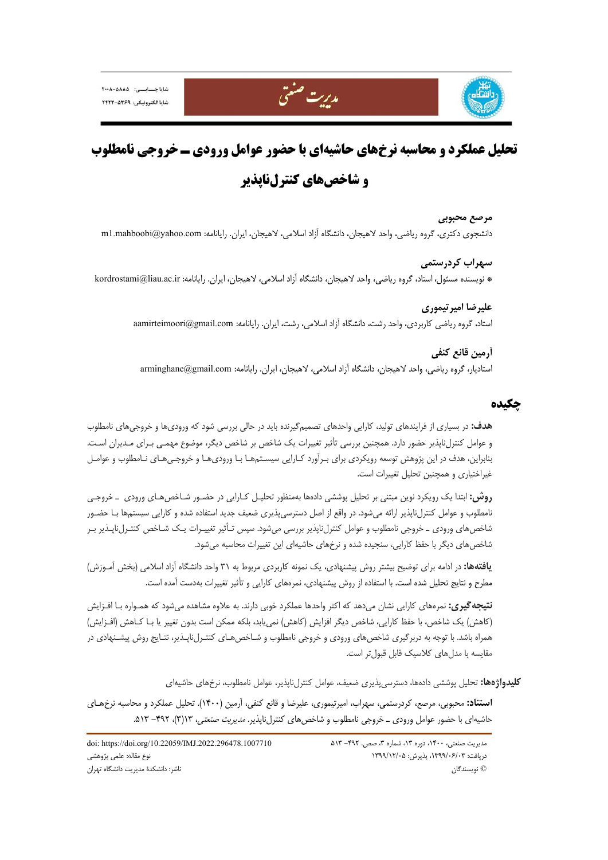





# **تحليل عملكرد و محاسبه نرخهاي حاشيهاي با حضور عوامل ورودي ـ خروجي نامطلوب و شاخصهاي كنترلناپذير**

**مرصع محبوبي**  دانشجوي دكتري، گروه رياضي، واحد لاهيجان، دانشگاه آزاد اسلامي، لاهيجان، ايران. رايانامه: com.yahoo@mahboobi1.m

**سهراب كردرستمي**  \* نويسنده مسئول، استاد، گروه رياضي، واحد لاهيجان، دانشگاه آزاد اسلامي، لاهيجان، ايران. رايانامه: ir.ac.liau@kordrostami

> **عليرضا اميرتيموري**  استاد، گروه رياضي كاربردي، واحد رشت، دانشگاه آزاد اسلامي، رشت، ايران. رايانامه: com.gmail@aamirteimoori

**آرمين قانع كنفي**  استاديار، گروه رياضي، واحد لاهيجان، دانشگاه آزاد اسلامي، لاهيجان، ايران. رايانامه: com.gmail@arminghane

## **چكيده**

**هدف:** در بسياري از فرايندهاي توليد، كارايي واحدهاي تصميمگيرنده بايد در حالي بررسي شود كه وروديها و خروجيهاي نامطلوب و عوامل كنترلناپذير حضور دارد. همچنين بررسي تأثير تغييرات يك شاخص بر شاخص ديگر، موضوع مهمـي بـراي مـديران اسـت. بنابراين، هدف در اين پژوهش توسعه رويكردي براي بـرآورد كـارايي سيسـتمهـا بـا وروديهـا و خروجـيهـاي نـامطلوب و عوامـل غيراختياري و همچنين تحليل تغييرات است.

**روش:** ابتدا يك رويكرد نوين مبتني بر تحليل پوششي دادهها بهمنظور تحليـل كـارايي در حضـور شـاخصهـاي ورودي ـ خروجـي نامطلوب و عوامل كنترلناپذير ارائه ميشود. در واقع از اصل دسترسيپذيري ضعيف جديد استفاده شده و كارايي سيستمها بـا حضـور شاخصهاي ورودي ـ خروجي نامطلوب و عوامل كنترلناپذير بررسي ميشود. سپس تـأثير تغييـرات يـك شـاخص كنتـرلناپـذير بـر شاخصهاي ديگر با حفظ كارايي، سنجيده شده و نرخهاي حاشيهاي اين تغييرات محاسبه ميشود.

**يافتهها:** در ادامه براي توضيح بيشتر روش پيشنهادي، يك نمونه كاربردي مربوط به 31 واحد دانشگاه آزاد اسلامي (بخش آمـوزش) مطرح و نتايج تحليل شده است. با استفاده از روش پيشنهادي، نمرههاي كارايي و تأثير تغييرات بهدست آمده است.

**نتيجهگيري:** نمرههاي كارايي نشان ميدهد كه اكثر واحدها عملكرد خوبي دارند. به علاوه مشاهده ميشود كه همـواره بـا افـزايش (كاهش) يك شاخص، با حفظ كارايي، شاخص ديگر افزايش (كاهش) نمييابد، بلكه ممكن است بدون تغيير يا بـا كـاهش (افـزايش) همراه باشد. با توجه به دربرگيري شاخصهاي ورودي و خروجي نامطلوب و شـاخصهـاي كنتـرلناپـذير، نتـايج روش پيشـنهادي در مقايسه با مدلهاي كلاسيك قابل قبولتر است.

**كليدواژهها:** تحليل پوششي دادهها، دسترسيپذيري ضعيف، عوامل كنترلناپذير، عوامل نامطلوب، نرخهاي حاشيهاي

**استناد:** محبوبي، مرصع، كردرستمي، سهراب، اميرتيموري، عليرضا و قانع كنفي، آرمين (1400). تحليل عملكرد و محاسبه نرخهـاي حاشيهاي با حضور عوامل ورودي ـ خروجي نامطلوب و شاخص هاي كنترلiپانير. *مديريت صنعتي،* ١٣(٣)، ٣٩٢ - ٥١٣.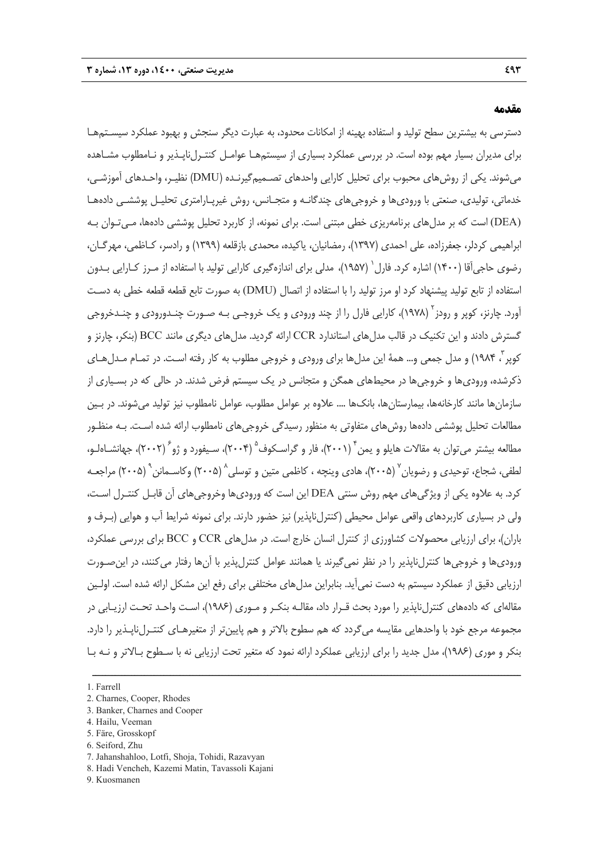#### **مقدمه**

دسترسي به بيشترين سطح توليد و استفاده بهينه از امكانات محدود، به عبارت ديگر سنجش و بهبود عملكرد سيسـتمهـا براي مديران بسيار مهم بوده است. در بررسي عملكرد بسياري از سيستمهـا عوامـل كنتـرلناپـذير و نـامطلوب مشـاهده ميشوند. يكي از روشهاي محبوب براي تحليل كارايي واحدهاي تصـميمگيرنـده (DMU (نظيـر، واحـدهاي آموزشـي، خدماتي، توليدي، صنعتي با وروديها و خروجيهاي چندگانـه و متجـانس، روش غيرپـارامتري تحليـل پوششـي دادههـا (DEA (است كه بر مدلهاي برنامهريزي خطي مبتني است. براي نمونه، از كاربرد تحليل پوششي دادهها، مـيتـوان بـه ابراهيمي كردلر، جعفرزاده، علي احمدي (1397)، رمضانيان، ياكيده، محمدي بازقلعه (1399) و رادسر، كـاظمي، مهرگـان، رضوي حاجي[قا (١۴٠٠) اشاره كرد. فارل` (١٩۵٧)، مدلي براي اندازهگيري كارايي توليد با استفاده از مـرز كـارايي بـدون استفاده از تابع توليد پيشنهاد كرد او مرز توليد را با استفاده از اتصال (DMU (به صورت تابع قطعه قطعه خطي به دسـت آورد. چارنز، كوپر و رودز<sup>۲</sup> (۱۹۷۸)، كارايي فارل را از چند ورودي و يك خروجـي بـه صـورت چنـدورودي و چنـدخروجي گسترش دادند و اين تكنيك در قالب مدلهاي استاندارد CCR ارائه گرديد. مدلهاي ديگري مانند BCC) بنكر، چارنز و كوپر ، ۱۹۸۴) و مدل جمعي و... همهٔ اين مدلها براي ورودي و خروجي مطلوب به كار رفته اسـت. در تمـام مـدلهـاي ذكرشده، وروديها و خروجيها در محيطهاي همگن و متجانس در يك سيستم فرض شدند. در حالي كه در بسـياري از سازمانها مانند كارخانهها، بيمارستانها، بانكها .... علاوه بر عوامل مطلوب، عوامل نامطلوب نيز توليد ميشوند. در بـين مطالعات تحليل پوششي دادهها روشهاي متفاوتي به منظور رسيدگي خروجيهاي نامطلوب ارائه شده اسـت. بـه منظـور مطالعه بيشتر مي توان به مقالات هايلو و يمن (٢٠٠١)، فار و گراسـكوف (٢٠٠۴)، سـيفورد و ژو ً (٢٠٠٢)، جهانشـاهلـو، لطفي، شجاع، توحيدي و رضويان `` (۲۰۰۵)، هادي وينچه ، كاظمي متين و توسلي `` (۲۰۰۵) وكاسـمانن `` (۲۰۰۵) مراجعـه كرد. به علاوه يكي از ويژگيهاي مهم روش سنتي DEA اين است كه وروديها وخروجيهاي آن قابـل كنتـرل اسـت، ولي در بسياري كاربردهاي واقعي عوامل محيطي (كنترلناپذير) نيز حضور دارند. براي نمونه شرايط آب و هوايي (بـرف و باران)، براي ارزيابي محصولات كشاورزي از كنترل انسان خارج است. در مدلهاي CCR و BCC براي بررسي عملكرد، وروديها و خروجيها كنترلناپذير را در نظر نميگيرند يا همانند عوامل كنترلپذير با آنها رفتار ميكنند، در اينصـورت ارزيابي دقيق از عملكرد سيستم به دست نميآيد. بنابراين مدلهاي مختلفي براي رفع اين مشكل ارائه شده است. اولـين مقالهاي كه دادههاي كنترلناپذير را مورد بحث قـرار داد، مقالـه بنكـر و مـوري (1986)، اسـت واحـد تحـت ارزيـابي در مجموعه مرجع خود با واحدهايي مقايسه ميگردد كه هم سطوح بالاتر و هم پايينتر از متغيرهـاي كنتـرلناپـذير را دارد. بنكر و موري (1986)، مدل جديد را براي ارزيابي عملكرد ارائه نمود كه متغير تحت ارزيابي نه با سـطوح بـالاتر و نـه بـا

ــــــــــــــــــــــــــــــــــــــــــــــــــــــــــــــــــــــــــــــــــــــــــــــــــــــــــــــــــــــــــــــــــــ

- 2. Charnes, Cooper, Rhodes
- 3. Banker, Charnes and Cooper
- 4. Hailu, Veeman
- 5. Färe, Grosskopf
- 6. Seiford, Zhu
- 7. Jahanshahloo, Lotfi, Shoja, Tohidi, Razavyan
- 8. Hadi Vencheh, Kazemi Matin, Tavassoli Kajani
- 9. Kuosmanen

<sup>1.</sup> Farrell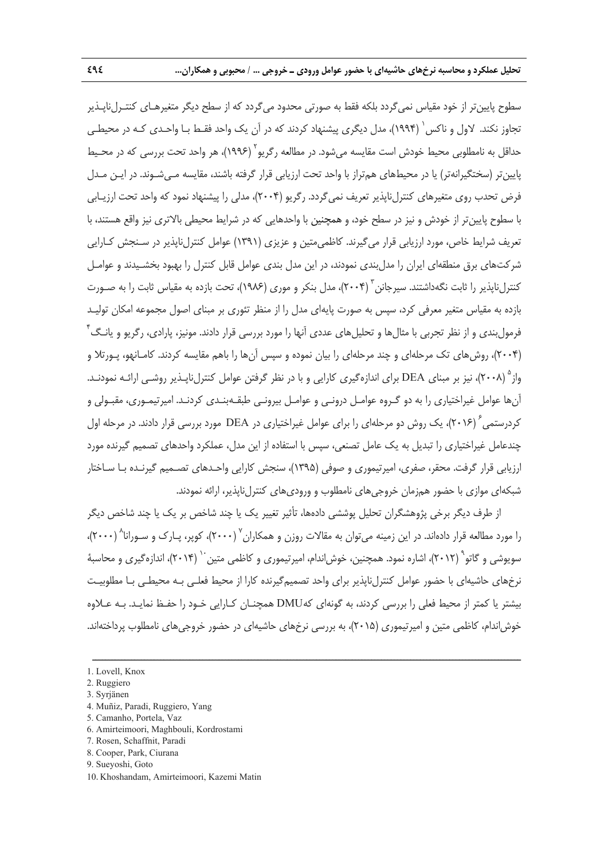سطوح پايين تر از خود مقياس نمي گردد بلكه فقط به صورتي محدود مي گردد كه از سطح ديگر متغيرهـاي كنتـرلiپـذير تجاوز نكند. لاول و ناكس ( ۱۹۹۴)، مدل ديگري پيشنهاد كردند كه در آن يک واحد فقـط بـا واحـدي كـه در محيطـي حداقل به نامطلوبي محيط خودش است مقايسه مي شود. در مطالعه رگريو (١٩٩۶)، هر واحد تحت بررسي كه در محـيط پايينتر (سختگيرانهتر) يا در محيطهاي همتراز با واحد تحت ارزيابي قرار گرفته باشند، مقايسه مـيشـوند. در ايـن مـدل فرض تحدب روي متغيرهاي كنترلiپذير تعريف نمي گردد. رگريو (٢٠٠۴)، مدلي را پيشنهاد نمود كه واحد تحت ارزيـابي با سطوح پايينتر از خودش و نيز در سطح خود، و همچنين با واحدهايي كه در شرايط محيطي بالاتري نيز واقع هستند، با تعريف شرايط خاص، مورد ارزيابي قرار ميگيرند. كاظميمتين و عزيزي (1391) عوامل كنترلناپذير در سـنجش كـارايي شركتهاي برق منطقهاي ايران را مدلبندي نمودند، در اين مدل بندي عوامل قابل كنترل را بهبود بخشـيدند و عوامـل کنترلناپذیر را ثابت نگهداشتند. سیرجانن <sup>۳</sup> (۲۰۰۴)، مدل بنکر و موری (۱۹۸۶)، تحت بازده به مقیاس ثابت را به صـورت بازده به مقياس متغير معرفي كرد، سپس به صورت پايهاي مدل را از منظر تئوري بر مبناي اصول مجموعه امكان توليـد فرمولبندی و از نظر تجربی با مثالها و تحليلهای عددی آنها را مورد بررسی قرار دادند. مونيز، پارادی، رگريو و يانـگ<sup>۴</sup> (2004)، روشهاي تك مرحلهاي و چند مرحلهاي را بيان نموده و سپس آنها را باهم مقايسه كردند. كامـانهو، پـورتلا و (2008)، نيز بر مبناي DEA براي اندازهگيري كارايي و با در نظر گرفتن عوامل كنترلناپـذير روشـي ارائـه نمودنـد. <sup>5</sup> واز آنها عوامل غيراختياري را به دو گـروه عوامـل درونـي و عوامـل بيرونـي طبقـهبنـدي كردنـد. اميرتيمـوري، مقبـولي و کردرستمي<sup>۲</sup> (۲۰۱۶)، يک روش دو مرحلهاي را براي عوامل غيراختياري در DEA مورد بررسي قرار دادند. در مرحله اول چندعامل غيراختياري را تبديل به يك عامل تصنعي، سپس با استفاده از اين مدل، عملكرد واحدهاي تصميم گيرنده مورد ارزيابي قرار گرفت. محقر، صفري، اميرتيموري و صوفي (1395)، سنجش كارايي واحـدهاي تصـميم گيرنـده بـا سـاختار شبكهاي موازي با حضور همزمان خروجيهاي نامطلوب و وروديهاي كنترلناپذير، ارائه نمودند.

از طرف ديگر برخي پژوهشگران تحليل پوششي دادهها، تأثير تغيير يك يا چند شاخص بر يك يا چند شاخص ديگر را مورد مطالعه قرار دادهاند. در اين زمينه مي¤وان به مقالات روزن و همكاران ۲۰۰۰)، كوير، يـارک و سـورانا<sup>^</sup> (۲۰۰۰)، سویوشی و گاتو<sup>۹</sup> (۲۰۱۲)، اشاره نمود. همچنین، خوش|ندام، امیرتیموری و کاظمی متین<sup>۰۰</sup> (۲۰۱۴)، اندازهگیری و محاسبهٔ نرخهاي حاشيهاي با حضور عوامل كنترلناپذير براي واحد تصميمگيرنده كارا از محيط فعلـي بـه محيطـي بـا مطلوبيـت بيشتر يا كمتر از محيط فعلي را بررسي كردند، به گونهاي كهDMU همچنـان كـارايي خـود را حفـظ نمايـد. بـه عـلاوه خوشاندام، كاظمي متين و اميرتيموري (2015)، به بررسي نرخهاي حاشيهاي در حضور خروجيهاي نامطلوب پرداختهاند.

ــــــــــــــــــــــــــــــــــــــــــــــــــــــــــــــــــــــــــــــــــــــــــــــــــــــــــــــــــــــــــــــــــــ

- 3. Syrjänen
- 4. Muñiz, Paradi, Ruggiero, Yang
- 5. Camanho, Portela, Vaz
- 6. Amirteimoori, Maghbouli, Kordrostami
- 7. Rosen, Schaffnit, Paradi
- 8. Cooper, Park, Ciurana
- 9. Sueyoshi, Goto
- 10. Khoshandam, Amirteimoori, Kazemi Matin

<sup>1.</sup> Lovell, Knox

<sup>2.</sup> Ruggiero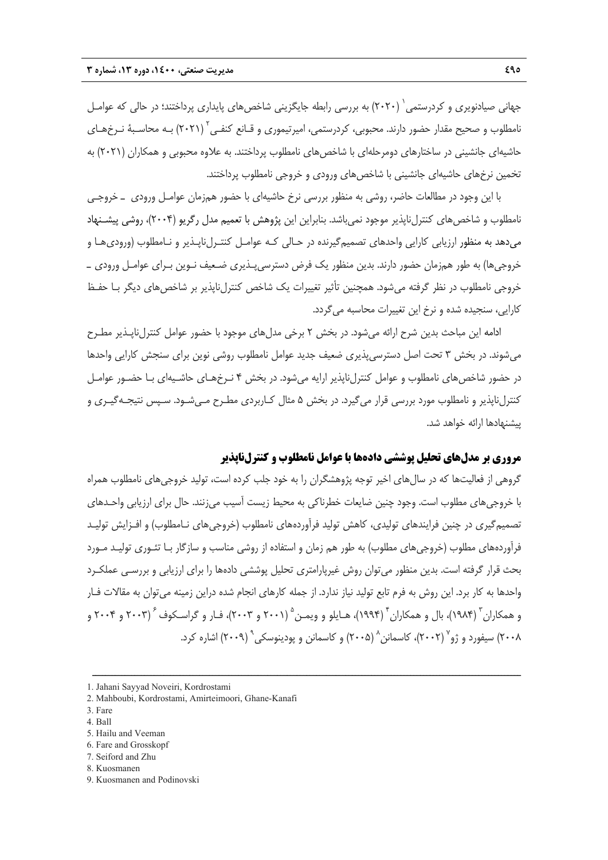جهاني صيادنويري و كردرستمي ( ۲۰۲۰) به بررسي رابطه جايگزيني شاخص هاي پايداري پرداختند؛ در حالي كه عوامـل نامطلوب و صحيح مقدار حضور دارند. محبوبى، كردرستمى، اميرتيمورى و قـانع كنفـى<sup>۲</sup> (۲۰۲۱) بـه محاسـبهٔ نـرخهـاى حاشيهاي جانشيني در ساختارهاي دومرحلهاي با شاخصهاي نامطلوب پرداختند. به علاوه محبوبي و همكاران (2021) به تخمين نرخهاي حاشيهاي جانشيني با شاخصهاي ورودي و خروجي نامطلوب پرداختند.

با اين وجود در مطالعات حاضر، روشي به منظور بررسي نرخ حاشيهاي با حضور همزمان عوامـل ورودي ـ خروجـي نامطلوب و شاخصهاي كنترلناپذير موجود نميباشد. بنابراين اين پژوهش با تعميم مدل رگريو (2004)، روشي پيشـنهاد ميدهد به منظور ارزيابي كارايي واحدهاي تصميمگيرنده در حـالي كـه عوامـل كنتـرلناپـذير و نـامطلوب (وروديهـا و خروجيها) به طور همزمان حضور دارند. بدين منظور يك فرض دسترسيپـذيري ضـعيف نـوين بـراي عوامـل ورودي ـ خروجي نامطلوب در نظر گرفته ميشود. همچنين تأثير تغييرات يك شاخص كنترلناپذير بر شاخصهاي ديگر بـا حفـظ كارايي، سنجيده شده و نرخ اين تغييرات محاسبه ميگردد.

ادامه اين مباحث بدين شرح ارائه مي شود. در بخش ٢ برخي مدل هاي موجود با حضور عوامل كنترل ناپـذير مطـرح ميشوند. در بخش 3 تحت اصل دسترسيپذيري ضعيف جديد عوامل نامطلوب روشي نوين براي سنجش كارايي واحدها در حضور شاخصهاي نامطلوب و عوامل كنترلناپذير ارايه ميشود. در بخش 4 نـرخهـاي حاشـيهاي بـا حضـور عوامـل كنترلناپذير و نامطلوب مورد بررسي قرار ميگيرد. در بخش 5 مثال كـاربردي مطـرح مـيشـود. سـپس نتيجـهگيـري و پيشنهادها ارائه خواهد شد.

## **مروري بر مدلهاي تحليل پوششي دادهها با عوامل نامطلوب و كنترلناپذير**

گروهي از فعاليتها كه در سالهاي اخير توجه پژوهشگران را به خود جلب كرده است، توليد خروجيهاي نامطلوب همراه با خروجيهاي مطلوب است. وجود چنين ضايعات خطرناكي به محيط زيست آسيب ميزنند. حال براي ارزيابي واحـدهاي تصميمگيري در چنين فرايندهاي توليدي، كاهش توليد فرآوردههاي نامطلوب (خروجيهاي نـامطلوب) و افـزايش توليـد فرآوردههاي مطلوب (خروجيهاي مطلوب) به طور هم زمان و استفاده از روشي مناسب و سازگار بـا تئـوري توليـد مـورد بحث قرار گرفته است. بدين منظور ميتوان روش غيرپارامتري تحليل پوششي دادهها را براي ارزيابي و بررسـي عملكـرد واحدها به كار برد. اين روش به فرم تابع توليد نياز ندارد. از جمله كارهاي انجام شده دراين زمينه ميتوان به مقالات فـار و همكاران ّ (۱۹۸۴)، بال و همكاران ٔ (۱۹۹۴)، هـايلو و ويمـن ۱ (۲۰۰ و ۲۰۰۳)، فـار و گراسـكوف ٔ (۲۰۰۳ و ۲۰۰۴ و (2009) اشاره كرد. <sup>9</sup> (2005) و كاسمانن و پودينوسكي <sup>8</sup> (2002)، كاسمانن <sup>7</sup> 2008) سيفورد و ژو

ــــــــــــــــــــــــــــــــــــــــــــــــــــــــــــــــــــــــــــــــــــــــــــــــــــــــــــــــــــــــــــــــــــ

- 3. Fare
- 4. Ball
- 5. Hailu and Veeman
- 6. Fare and Grosskopf
- 7. Seiford and Zhu 8. Kuosmanen
- 
- 9. Kuosmanen and Podinovski

<sup>1.</sup> Jahani Sayyad Noveiri, Kordrostami

<sup>2.</sup> Mahboubi, Kordrostami, Amirteimoori, Ghane-Kanafi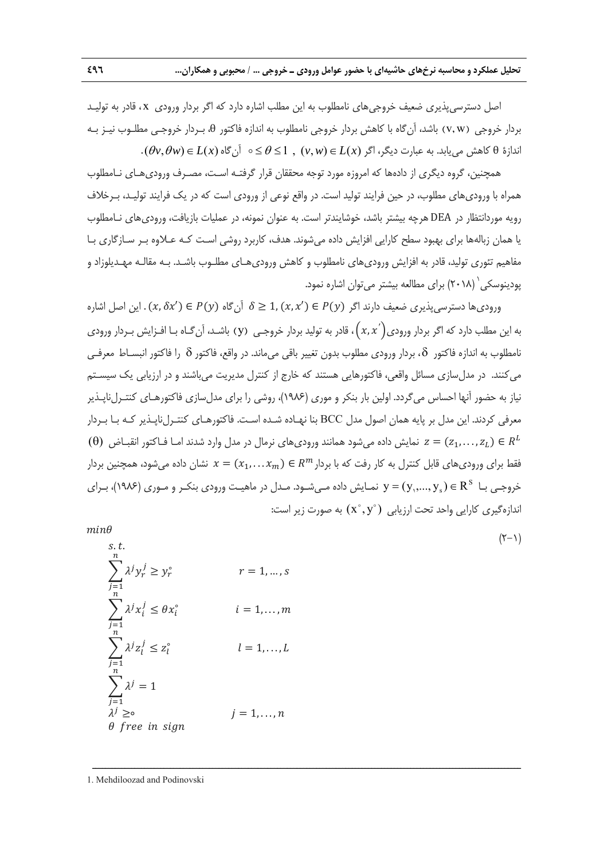اصل دسترسيپذيري ضعيف خروجيهاي نامطلوب به اين مطلب اشاره دارد كه اگر بردار ورودي x ، قادر به توليـد بردار خروجي w v ) , (باشد، آنگاه با كاهش بردار خروجي نامطلوب به اندازه فاكتور θ، بـردار خروجـي مطلـوب نيـز بـه  $(\theta v, \theta w) \in L(x)$  اندازهٔ  $\theta$  کاهش می یابد. به عبارت دیگر، اگر  $L(x) \in L(x)$  ,  $0 \leq \theta \leq 1$  ,  $(v, w) \in L(x)$ 

همچنين، گروه ديگري از دادهها كه امروزه مورد توجه محققان قرار گرفتـه اسـت، مصـرف وروديهـاي نـامطلوب همراه با وروديهاي مطلوب، در حين فرايند توليد است. در واقع نوعي از ورودي است كه در يك فرايند توليـد، بـرخلاف رويه موردانتظار در DEA هرچه بيشتر باشد، خوشايندتر است. به عنوان نمونه، در عمليات بازيافت، وروديهاي نـامطلوب يا همان زبالهها براي بهبود سطح كارايي افزايش داده ميشوند. هدف، كاربرد روشي اسـت كـه عـلاوه بـر سـازگاري بـا مفاهيم تئوري توليد، قادر به افزايش وروديهاي نامطلوب و كاهش وروديهـاي مطلـوب باشـد. بـه مقالـه مهـديلوزاد و (2018) براي مطالعه بيشتر ميتوان اشاره نمود. <sup>1</sup> پودينوسكي

ورودي ها دسترسي پذيري ضعيف دارند اگر  $P(y) \in P(x) \subset \delta \geq 1, (x, x') \in P(y)$  . اين اصل اشاره به اين مطلب دارد كه اگر بردار ورودي $\big(x,x^{'}\big)$ ، قادر به توليد بردار خروجـي  $\,$  (y) باشـد، آن گـاه بـا افـزايش بـردار ورودي نامطلوب به اندازه فاكتور  $\delta$ ، بردار ورودي مطلوب بدون تغيير باقي ميءاند. در واقع، فاكتور  $\delta$  را فاكتور انبسـاط معرفـي مي كنند. در مدل سازي مسائل واقعي، فاكتورهايي هستند كه خارج از كنترل مديريت مي باشند و در ارزيابي يك سيسـتم نياز به حضور آنها احساس ميگردد. اولين بار بنكر و موري (1986)، روشي را براي مدلسازي فاكتورهـاي كنتـرلناپـذير معرفي كردند. اين مدل بر پايه همان اصول مدل BCC بنا نهـاده شـده اسـت. فاكتورهـاي كنتـرلناپـذير كـه بـا بـردار نمايش داده مي شود همانند ورودي هاي نرمال در مدل وارد شدند امـا فـاكتور انقبـاض  $z=(z_1,\ldots,z_L)\in R^L$ فقط براي ورودي هاي قابل كنترل به كار رفت كه با بردار  $x=(x_1,\ldots x_m)\in R^m$  نشان داده مي شود، همچنين بردار خروجـی بـا  $\mathbf{R}^{\text{S}}$   $(\mathbf{y}^{\text{S}},...,\mathbf{y}_{\text{s}})$  نمـايش داده مـیشـود. مـدل در ماهيـت ورودی بنكـر و مـوری (۱۹۸۶)، بـرای اندازهگيري كارايي واحد تحت ارزيابي  $(\overline{X}^{\circ}, \overline{y}^{\circ})$  به صورت زير است:

ــــــــــــــــــــــــــــــــــــــــــــــــــــــــــــــــــــــــــــــــــــــــــــــــــــــــــــــــــــــــــــــــــــ

 $(Y-1)$ 

 $min\theta$ 

s.t.  
\n
$$
\sum_{j=1}^{n} \lambda^j y_r^j \ge y_r^{\circ}
$$
\n
$$
r = 1, ..., s
$$
\n
$$
\sum_{j=1}^{n} \lambda^j x_i^j \le \theta x_i^{\circ}
$$
\n
$$
i = 1, ..., m
$$
\n
$$
\sum_{j=1}^{n} \lambda^j z_i^j \le z_i^{\circ}
$$
\n
$$
l = 1, ..., L
$$
\n
$$
\sum_{j=1}^{n} \lambda^j = 1
$$
\n
$$
\lambda^j \ge \circ
$$
\n
$$
\theta
$$
\n*free in sign*

1. Mehdiloozad and Podinovski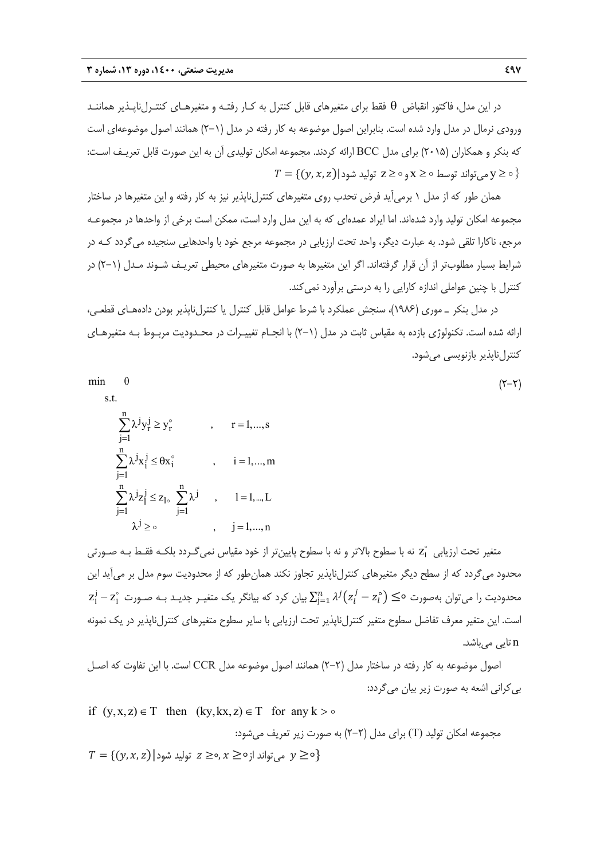در اين مدل، فاكتور انقباض فقط براي متغيرهاي قابل كنترل به كـار رفتـه و متغيرهـاي كنتـرلناپـذير هماننـد ورودي نرمال در مدل وارد شده است. بنابراين اصول موضوعه به كار رفته در مدل (2-1) همانند اصول موضوعهاي است كه بنكر و همكاران (2015) براي مدل BCC ارائه كردند. مجموعه امكان توليدي آن به اين صورت قابل تعريـف اسـت:  $T = \{(y, x, z) | \text{and } z \geq 0 \text{ and } x \geq 0 \}$ می تواند توسط ه $\{X \geq 0\}$ 

همان طور كه از مدل 1 برميآيد فرض تحدب روي متغيرهاي كنترلناپذير نيز به كار رفته و اين متغيرها در ساختار مجموعه امكان توليد وارد شدهاند. اما ايراد عمدهاي كه به اين مدل وارد است، ممكن است برخي از واحدها در مجموعـه مرجع، ناكارا تلقي شود. به عبارت ديگر، واحد تحت ارزيابي در مجموعه مرجع خود با واحدهايي سنجيده ميگردد كـه در شرايط بسيار مطلوبتر از آن قرار گرفتهاند. اگر اين متغيرها به صورت متغيرهاي محيطي تعريـف شـوند مـدل (2-1) در كنترل با چنين عواملي اندازه كارايي را به درستي برآورد نمي كند.

در مدل بنكر ـ موري (1986)، سنجش عملكرد با شرط عوامل قابل كنترل يا كنترلناپذير بودن دادههـاي قطعـي، ارائه شده است. تكنولوژي بازده به مقياس ثابت در مدل (2-1) با انجـام تغييـرات در محـدوديت مربـوط بـه متغيرهـاي كنترل ناپذير بازنويسي مي شود.

$$
\min \quad \theta \tag{5-5}
$$
 s.t.

$$
\begin{aligned} &\sum_{j=1}^{n}\lambda^{j}y_{r}^{j}\geq y_{r}^{\circ} \qquad & ,\qquad r=1,...,s\\ &\sum_{j=1}^{n}\lambda^{j}x_{i}^{j}\leq \theta x_{i}^{\circ} \qquad & ,\qquad i=1,...,m\\ &\sum_{j=1}^{n}\lambda^{j}z_{l}^{j}\leq z_{1\circ}\sum_{j=1}^{n}\lambda^{j} \qquad & ,\qquad l=1,...,L\\ &\lambda^{j}\geq \circ & ,\qquad & j=1,...,n \end{aligned}
$$

متغير تحت ارزيابى <sub>Zاٌ</sub> نه با سطوح بالاتر و نه با سطوح پايينتر از خود مقياس نمىگـردد بلكـه فقـط بـه صـورتى محدود ميگردد كه از سطح ديگر متغيرهاي كنترلناپذير تجاوز نكند همانطور كه از محدوديت سوم مدل بر ميآيد اين  $\frac{1}{1}$  محدوديت را مىتوان بهصورت ○ $\lambda^j(z_l^j-z_l^{\circ})\leq \lambda^j$  بيان كرد كه بيانگر يک متغيـر جديـد بـه صـورت  $z_1^j$  – z است. اين متغير معرف تفاضل سطوح متغير كنترلناپذير تحت ارزيابي با ساير سطوح متغيرهاي كنترلناپذير در يك نمونه n تايي ميباشد.

اصول موضوعه به كار رفته در ساختار مدل (2-2) همانند اصول موضوعه مدل CCR است. با اين تفاوت كه اصـل بيكراني اشعه به صورت زير بيان ميگردد:

if 
$$
(y, x, z) \in T
$$
 then  $(ky, kx, z) \in T$  for any  $k > \circ$   
਼ਨੁ੶ਦ੍ਹੁਦੀ, ਪ੍ਰਹੀ, ਪ੍ਰਹਿਤ ਪ੍ਰਹੁਦੀ; ਪ੍ਰਦੂ ਪੁਲ੍ਹੁਦੁਦੁ ਦੁਗੁਦੁਦਾ; ਲਾਹੁਦੁਦਾ ਨੁੰਚ੍ਰਦਾਂ ਹੁਦ੍ਰਾਂ ਨਾ) ਪ਼ੰਦ੍ਰ ਸਿੱਦੀ) ਸੁੱਦੀ ਕਾਰ੍ਹਾਰਿਤਾ ਨਾ
$$
T = \{(y, x, z) | \text{supp } z \geq 0, x \geq 0\} \text{ and } T = \{(y, x, z) | \text{supp } z > 0\}
$$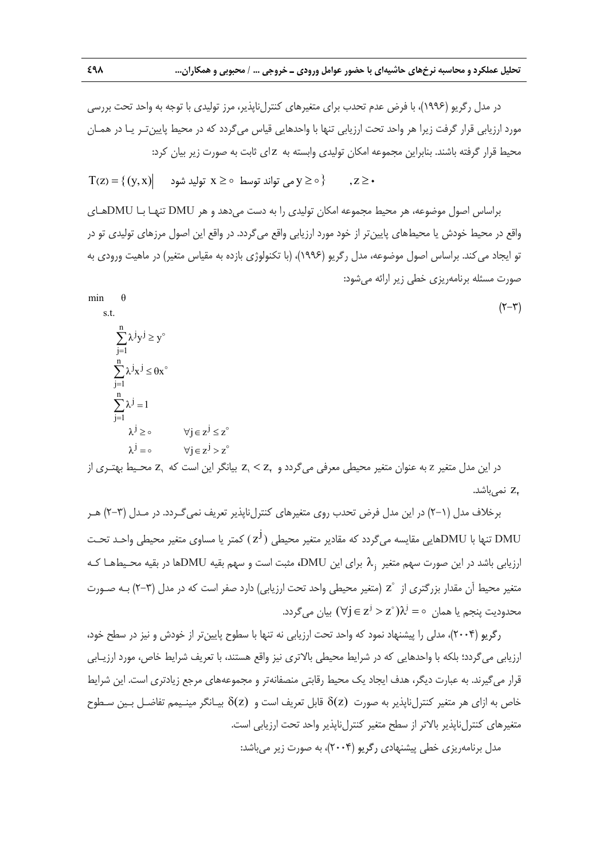در مدل رگريو (۱۹۹۶)، با فرض عدم تحدب براي متغيرهاي كنترلiبايذير، مرز توليدي با توجه به واحد تحت بررسي مورد ارزيابي قرار گرفت زيرا هر واحد تحت ارزيابي تنها با واحدهايي قياس ميگردد كه در محيط پايينتـر يـا در همـان محيط قرار گرفته باشند. بنابراين مجموعه امكان توليدي وابسته به z اي ثابت به صورت زير بيان كرد:

 $T(z) = \{(y, x) | x \geq 0 \text{ and } x \geq 0 \}$  ,  $z \geq 0$  ,  $z \geq 0$ 

براساس اصول موضوعه، هر محيط مجموعه امكان توليدي را به دست ميدهد و هر DMU تنهـا بـا DMUهـاي واقع در محيط خودش يا محيطهاي پايينتر از خود مورد ارزيابي واقع ميگردد. در واقع اين اصول مرزهاي توليدي تو در تو ايجاد ميكند. براساس اصول موضوعه، مدل رگريو (1996)، (با تكنولوژي بازده به مقياس متغير) در ماهيت ورودي به صورت مسئله برنامهريزي خطي زير ارائه ميشود:

 (2-3) <sup>n</sup> j j j 1 <sup>n</sup> j j j 1 <sup>n</sup> <sup>j</sup> j 1 j j j j min θ s.t. λ y y λ x x λ 1 λ j z z λ j z z z محـيط بهتـري از <sup>1</sup> z z بيانگر اين است كه <sup>2</sup> <sup>1</sup> در اين مدل متغير <sup>z</sup> به عنوان متغير محيطي معرفي ميگردد و z نميباشد. <sup>2</sup>

برخلاف مدل (2-1) در اين مدل فرض تحدب روي متغيرهاي كنترلناپذير تعريف نميگـردد. در مـدل (2-3) هـر تنها با DMUهايي مقايسه مي گردد كه مقادير متغير محيطي  $(\rm z^J)$  كمتر يا مساوي متغير محيطي واحـد تحـت  $\rm DMU$ **،** مثبت است و سهم بقيه DMUها در بقيه محـيطهـا كـه <sup>j</sup> براي اين DMU ارزيابي باشد در اين صورت سهم متغير متغير محيط آن مقدار بزرگتري از  $z^{\circ}$  (متغير محيطي واحد تحت ارزيابي) دارد صفر است كه در مدل (٣-٢) بـه صـورت ه پنجم يا همان  $\lambda^j = \lambda^j = \lambda^j$  بيان ميگردد.  $\forall j \in \mathsf{z}^j > \mathsf{z}^{\circ}$  .

رگريو (2004)، مدلي را پيشنهاد نمود كه واحد تحت ارزيابي نه تنها با سطوح پايينتر از خودش و نيز در سطح خود، ارزيابي ميگردد؛ بلكه با واحدهايي كه در شرايط محيطي بالاتري نيز واقع هستند، با تعريف شرايط خاص، مورد ارزيـابي قرار ميگيرند. به عبارت ديگر، هدف ايجاد يك محيط رقابتي منصفانهتر و مجموعههاي مرجع زيادتري است. اين شرايط خاص به ازاي هر متغير كنترلناپذير به صورت (z( قابل تعريف است و (z( بيـانگر مينـيمم تفاضـل بـين سـطوح متغيرهاي كنترلناپذير بالاتر از سطح متغير كنترلناپذير واحد تحت ارزيابي است.

مدل برنامهريزي خطي پيشنهادي رگريو (2004)، به صورت زير ميباشد: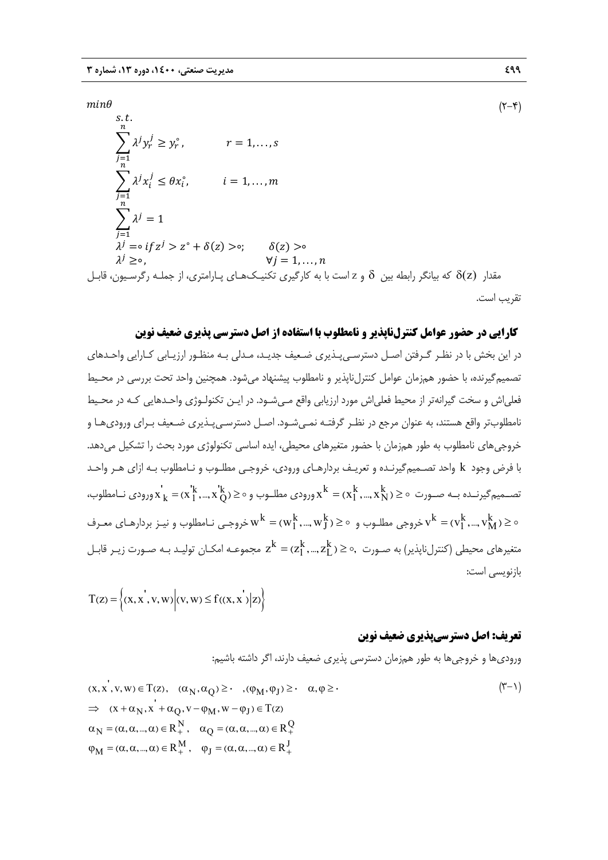$s, t$ .

 $min\theta$  ( $\uparrow$  + $\uparrow$ )

 $\sum \lambda^j y_r^j \geq y_r^{\circ}$  $\boldsymbol{n}$  $j=1$  $r = 1, \ldots, s$  $\sum_{i} \lambda^{j} x_{i}^{j}$  $\boldsymbol{n}$  $j=1$  $\leq \theta x_i^{\circ}, \qquad i = 1, \ldots, m$  $\sum \lambda^j$  $\boldsymbol{n}$  $j=1$  $= 1$  $\lambda^{j} = \circ if z^{j} > z^{\circ} + \delta(z) > \circ; \qquad \delta(z) > \circ$  $\forall j = 1, \ldots, n$ مقدار  $\delta$ ( كه بيانگر رابطه بين  $\delta$  و z است با به كارگيري تكنيـكـهـاي پـارامتري، از جملـه رگرسـيون، قابـل تقريب است.

## **كارايي در حضور عوامل كنترلناپذير و نامطلوب با استفاده از اصل دسترسي پذيري ضعيف نوين**

در اين بخش با در نظـر گـرفتن اصـل دسترسـيپـذيري ضـعيف جديـد، مـدلي بـه منظـور ارزيـابي كـارايي واحـدهاي تصميمگيرنده، با حضور همزمان عوامل كنترلناپذير و نامطلوب پيشنهاد ميشود. همچنين واحد تحت بررسي در محـيط فعلياش و سخت گيرانهتر از محيط فعلياش مورد ارزيابي واقع مـيشـود. در ايـن تكنولـوژي واحـدهايي كـه در محـيط نامطلوبتر واقع هستند، به عنوان مرجع در نظـر گرفتـه نمـيشـود. اصـل دسترسـيپـذيري ضـعيف بـراي وروديهـا و خروجيهاي نامطلوب به طور همزمان با حضور متغيرهاي محيطي، ايده اساسي تكنولوژي مورد بحث را تشكيل ميدهد. با فرض وجود k واحد تصـميمگيرنـده و تعريـف بردارهـاي ورودي، خروجـي مطلـوب و نـامطلوب بـه ازاي هـر واحـد  $x_k^\star =$ تصــميم گيرنــده بــه صــورت  $\alpha \in X_1^k, ..., X_k^k = x_1^k, ..., X_Q^k$ ورودی نــامطلوب و $x_k^\star = (x_1^{k},...,x_Q^{k})$ ورودی نــامطلوب خروجی مطلـوب و  $\rm w^k = (w_1^k,...,w_J^k) \geq w^k = (w_1^k,...,v_M^k) \geq 0$  خروجـی نـامطلوب و نیـز بردارهـای معـرف متغيرهاي محيطي (كنترلناپذير) به صـورت  $z^k=(z_1^k,...,z_L^k)\geq 0,$  مجموعـه امكـان توليـد بـه صـورت زيـر قابـل بازنويسي است:

$$
T(z) = \left\{ (x, x^{'}, v, w) \middle| (v, w) \le f((x, x^{'}) \middle| z) \right\}
$$

## **تعريف: اصل دسترسيپذيري ضعيف نوين**

وروديها و خروجيها به طور همزمان دسترسي پذيري ضعيف دارند، اگر داشته باشيم:

$$
(x, x', v, w) \in T(z), \quad (\alpha_N, \alpha_Q) \geq \cdot \quad , (\varphi_M, \varphi_J) \geq \cdot \quad \alpha, \varphi \geq \cdot
$$
  
\n
$$
\Rightarrow \quad (x + \alpha_N, x' + \alpha_Q, v - \varphi_M, w - \varphi_J) \in T(z)
$$
  
\n
$$
\alpha_N = (\alpha, \alpha, ..., \alpha) \in R_+^N, \quad \alpha_Q = (\alpha, \alpha, ..., \alpha) \in R_+^Q
$$
  
\n
$$
\varphi_M = (\alpha, \alpha, ..., \alpha) \in R_+^M, \quad \varphi_J = (\alpha, \alpha, ..., \alpha) \in R_+^J
$$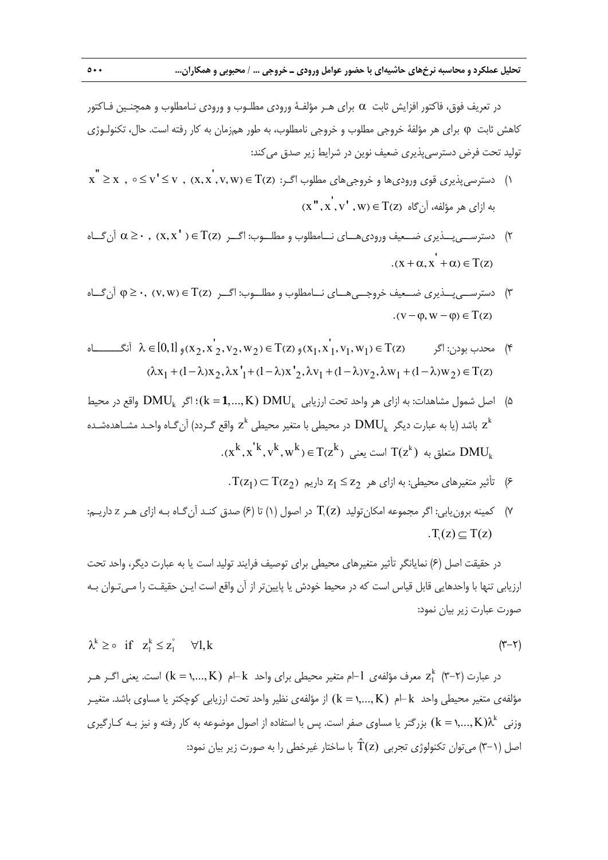در تعريف فوق، فاكتور افزايش ثابت براي هـر مؤلفـة ورودي مطلـوب و ورودي نـامطلوب و همچنـين فـاكتور كاهش ثابت براي هر مؤلفة خروجي مطلوب و خروجي نامطلوب، به طور همزمان به كار رفته است. حال، تكنولـوژي توليد تحت فرض دسترسيپذيري ضعيف نوين در شرايط زير صدق ميكند:

- $x$  "  $x \in X$  ,  $0 \leq y' \leq y$  ,  $(x, x', y, w) \in T$ (z) مطلوب اگـر: () and the set of  $y \leq x$  ,  $0 \leq y' \leq y$  ,  $(x, x', y, w) \in T$  $(x'', x', v', w) \in T(z)$  به ازای هر مؤلفه، آن گاه
- ا) دسترســي بــذيري ضــعيف وروديهــاي نـــامطلوب و مطلـــوب: اگـــر  $\alpha \geq \cdot , \alpha \geq \cdot , \alpha \geq \infty$  آن گــاه  $(x + \alpha, x^{\dagger} + \alpha) \in T(z)$
- 3) دسترســيپــذيري ضــعيف خروجــيهــاي نــامطلوب و مطلــوب: اگــر Tz w v ) ( ) , ( 0, آنگــاه  $\cdot$  (v –  $\varphi$ , w –  $\varphi$ )  $\in$  T(z)
- محدب بودن: اگر  $\lambda \in [0,1]$  1  $(\lambda_2, \lambda_2, \lambda_3, \nu_2, \nu_3) \in T$  (z) محدب بودن: اگر  $(\lambda_2, \lambda_3, \lambda_4, \nu_1)$  (x<sub>1</sub>, x<sub>1</sub>, v<sub>1</sub>, w<sub>1</sub>) ()  $(\lambda x_1 + (1 - \lambda)x_2, \lambda x_1 + (1 - \lambda)x_2, \lambda y_1 + (1 - \lambda)y_2, \lambda w_1 + (1 - \lambda)w_2) \in T(z)$
- **1** DMU) K,..., k(؛ اگر DMUk واقع در محيط <sup>k</sup> 5 (اصل شمول مشاهدات: به ازاي هر واحد تحت ارزيابي در محيطي با متغير محيطي و تعظيم سا محيطي محيطي محيطي عام واحـد مشـاهدهشـده z $^{\rm k}$  باشد (يا به عبارت ديگر  ${\rm z}^{\rm k}$  $\{(x^k,x^{'k},y^k,w^k)\in T(z^k) \text{ and } T(z^k) \text{ and } DMU_k$  متعلق به  $\{T(z^k)\}$  .
	- $\Gamma(z_1) \subset \Gamma(z_2)$  تأثير متغيرهاي محيطي: به ازاي هر  $z_1 \leq z_2$  داريم  $z_1$ .
- در (1) تا (6) صدق كنـد آنگـاه بـه ازاي هـر <sup>z</sup> داريـم: <sup>1</sup> اصول 7) كمينه برونيابي: اگر مجموعه امكانتوليد (z(T  $T(z) \subset T(z)$

در حقيقت اصل (6) نمايانگر تأثير متغيرهاي محيطي براي توصيف فرايند توليد است يا به عبارت ديگر، واحد تحت ارزيابي تنها با واحدهايي قابل قياس است كه در محيط خودش يا پايينتر از آن واقع است ايـن حقيقـت را مـيتـوان بـه صورت عبارت زير بيان نمود:

$$
\lambda^k \geq \circ \quad \text{if} \quad z_1^k \leq z_1^{\circ} \qquad \forall 1, k \tag{7-7}
$$

در عبارت (٣-٣) Z، معرف مؤلفهى  $l$  -ام متغير محيطى براى واحد  $+{\bf k}$ م (K = ۱,..., K) است. يعنى اگـر هـر مؤلفهي متغير محيطي واحد  $+\mathrm{k}$ م  $(\mathrm{k}=\mathrm{k},...,\mathrm{K})$  از مؤلفهي نظير واحد تحت ارزيابي كوچكتر يا مساوي باشد. متغيـر وزنی  $(\rm{k}=1,...,\rm{K})$ ) بزرگتر يا مساوي صفر است. پس با استفاده از اصول موضوعه به كار رفته و نيز بـه كـارگيري اصل (۱–۳) مي توان تكنولوژي تجربي  $\hat{\Upsilon}(\mathsf{z})$  با ساختار غيرخطي را به صورت زير بيان نمود: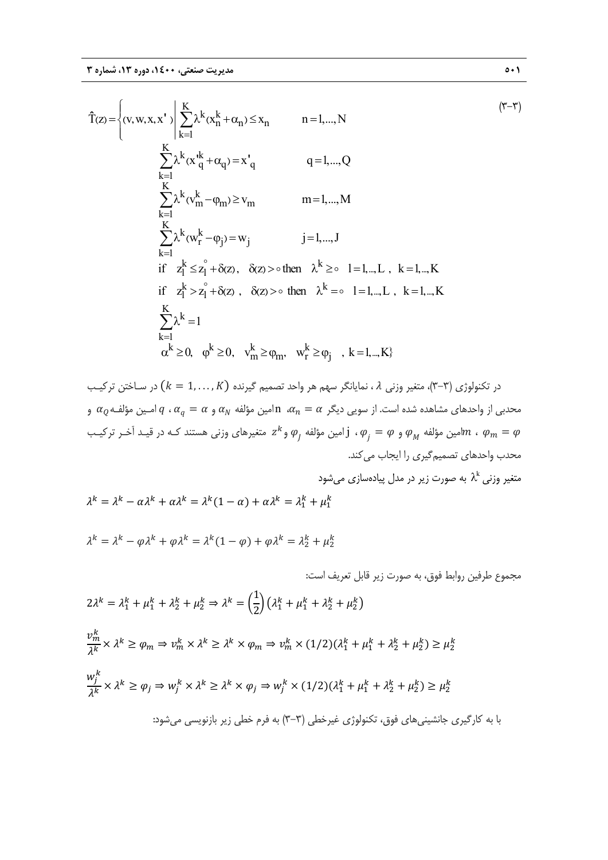$$
\hat{T}(z) = \begin{cases}\n(v, w, x, x') & \sum_{k=1}^{K} \lambda^{k} (x_{n}^{k} + \alpha_{n}) \leq x_{n} & n = 1, ..., N \\
& \sum_{k=1}^{K} \lambda^{k} (x_{q}^{k} + \alpha_{q}) = x'_{q} & q = 1, ..., Q \\
& \sum_{k=1}^{K} \lambda^{k} (v_{m}^{k} - \varphi_{m}) \geq v_{m} & m = 1, ..., M \\
& \sum_{k=1}^{K} \lambda^{k} (w_{r}^{k} - \varphi_{j}) = w_{j} & j = 1, ..., J \\
& \text{if } z_{1}^{k} \leq z_{1}^{\circ} + \delta(z), \quad \delta(z) > \circ \text{ then } \lambda^{k} \geq \circ 1 = 1, ..., L, \quad k = 1, ..., K \\
& \sum_{k=1}^{K} \lambda^{k} = 1 & \\
& \alpha^{k} \geq 0, \quad \varphi^{k} \geq 0, \quad v_{m}^{k} \geq \varphi_{m}, \quad w_{r}^{k} \geq \varphi_{j}, \quad k = 1, ..., K\n\end{cases}
$$
\n
$$
(T - T)
$$
\n
$$
(T - T)
$$
\n
$$
(T - T)
$$
\n
$$
(T - T)
$$
\n
$$
(T - T)
$$
\n
$$
(T - T)
$$
\n
$$
(T - T)
$$
\n
$$
(T - T)
$$
\n
$$
(T - T)
$$
\n
$$
(T - T)
$$

در تكنولوژي (٣-٣)، متغير وزني ٨، نمايانگر سهم هر واحد تصميم گيرنده  $(k = 1, \ldots, K)$  در سـاختن تركيـب بحدبی از واحدهای مشاهده شده است. از سویی دیگر  $\alpha_n=\alpha$ ،  $\alpha_n$  امین مؤلفه  $\alpha_q$  و  $\alpha_q=\alpha$  و  $q$ ، و  $q$ ، و  $q$ ، و  $\alpha_q$ مين مؤلفه  $\phi_j = \phi_j$  و  $\phi_j = j$  ، أمين مؤلفه  $\phi_j$  و $z^k$  متغيرهاي وزني هستند كـه در قيـد آخـر تركيـب $m$  ،  $\varphi_m = \varphi$ محدب واحدهاي تصميمگيري را ايجاب ميكند.

$$
\lambda^k = \lambda^k - \alpha \lambda^k + \alpha \lambda^k = \lambda^k (1 - \alpha) + \alpha \lambda^k = \lambda_1^k + \mu_1^k
$$
  

$$
\lambda^k = \lambda^k - \alpha \lambda^k + \alpha \lambda^k = \lambda^k (1 - \alpha) + \alpha \lambda^k = \lambda_1^k + \mu_1^k
$$
  

$$
\lambda^k = \lambda^k - \varphi \lambda^k + \varphi \lambda^k = \lambda^k (1 - \varphi) + \varphi \lambda^k = \lambda_2^k + \mu_2^k
$$

$$
2\lambda^{k} = \lambda_{1}^{k} + \mu_{1}^{k} + \lambda_{2}^{k} + \mu_{2}^{k} \Rightarrow \lambda^{k} = \left(\frac{1}{2}\right) \left(\lambda_{1}^{k} + \mu_{1}^{k} + \lambda_{2}^{k} + \mu_{2}^{k}\right)
$$
\n
$$
2\lambda^{k} = \lambda_{1}^{k} + \mu_{1}^{k} + \lambda_{2}^{k} + \mu_{2}^{k} \Rightarrow \lambda^{k} = \left(\frac{1}{2}\right) \left(\lambda_{1}^{k} + \mu_{1}^{k} + \lambda_{2}^{k} + \mu_{2}^{k}\right)
$$
\n
$$
\frac{\nu_{m}^{k}}{\lambda^{k}} \times \lambda^{k} \ge \varphi_{m} \Rightarrow \nu_{m}^{k} \times \lambda^{k} \ge \lambda^{k} \times \varphi_{m} \Rightarrow \nu_{m}^{k} \times (1/2)(\lambda_{1}^{k} + \mu_{1}^{k} + \lambda_{2}^{k} + \mu_{2}^{k}) \ge \mu_{2}^{k}
$$
\n
$$
\frac{\omega_{j}^{k}}{\lambda^{k}} \times \lambda^{k} \ge \varphi_{j} \Rightarrow \omega_{j}^{k} \times \lambda^{k} \ge \lambda^{k} \times \varphi_{j} \Rightarrow \omega_{j}^{k} \times (1/2)(\lambda_{1}^{k} + \mu_{1}^{k} + \lambda_{2}^{k} + \mu_{2}^{k}) \ge \mu_{2}^{k}
$$
\n
$$
\vdots
$$
\n
$$
|\Gamma - \Gamma| \Rightarrow \omega_{j} \le \omega_{j} \le \omega_{j} \le \omega_{j} \le \omega_{j} \le \omega_{j} \le \omega_{j} \le \omega_{j} \le \omega_{j} \le \omega_{j} \le \omega_{j} \le \omega_{j} \le \omega_{j} \le \omega_{j} \le \omega_{j} \le \omega_{j} \le \omega_{j} \le \omega_{j} \le \omega_{j} \le \omega_{j} \le \omega_{j} \le \omega_{j} \le \omega_{j} \le \omega_{j} \le \omega_{j} \le \omega_{j} \le \omega_{j} \le \omega_{j} \le \omega_{j} \le \omega_{j} \le \omega_{j} \le \omega_{j} \le \omega_{j} \le \omega_{j} \le \omega_{j} \le \omega_{j} \le \omega_{j}
$$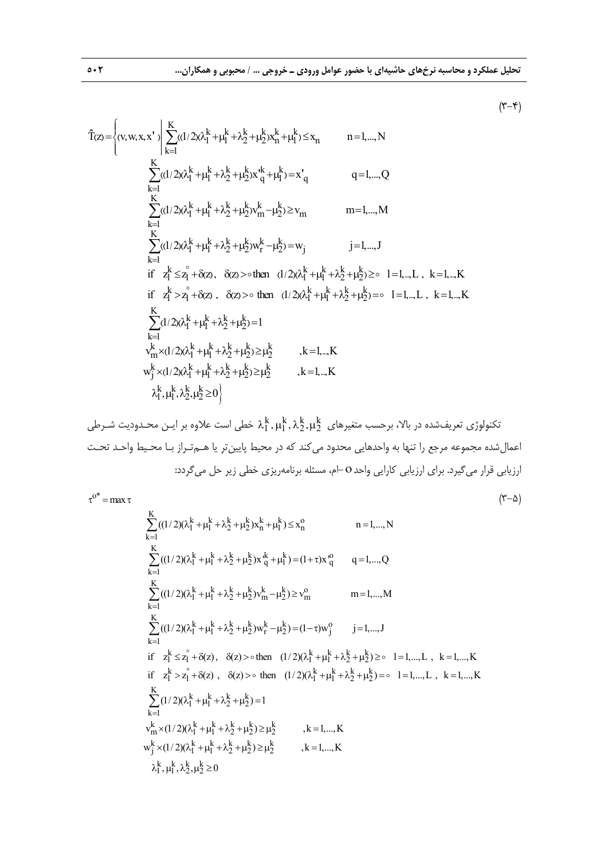$$
(\textbf{y}\textbf{-}\textbf{x})
$$

$$
\hat{T}(z) = \begin{cases}\n(v, w, x, x')\n\begin{vmatrix}\nK \\
\sum_{k=1}^{K} ((1/2)(\lambda_{1}^{k} + \mu_{1}^{k} + \lambda_{2}^{k} + \mu_{2}^{k})x_{n}^{k} + \mu_{1}^{k}) \leq x_{n} & n = 1, ..., N \\
\sum_{k=1}^{K} ((1/2)(\lambda_{1}^{k} + \mu_{1}^{k} + \lambda_{2}^{k} + \mu_{2}^{k})x_{n}^{k} + \mu_{1}^{k}) = x'_{q} & q = 1, ..., Q\n\end{cases}\n\end{cases}
$$
\n
$$
\sum_{k=1}^{K} ((1/2)(\lambda_{1}^{k} + \mu_{1}^{k} + \lambda_{2}^{k} + \mu_{2}^{k})w_{m}^{k} - \mu_{2}^{k}) \geq v_{m}
$$
\n
$$
m = 1, ..., M
$$
\n
$$
\sum_{k=1}^{K} ((1/2)(\lambda_{1}^{k} + \mu_{1}^{k} + \lambda_{2}^{k} + \mu_{2}^{k})w_{n}^{k} - \mu_{2}^{k}) = w_{j}
$$
\n
$$
j = 1, ..., J
$$
\n
$$
if \quad z_{1}^{k} \leq z_{1}^{2} + \delta(z), \quad \delta(z) > 0 \text{ then } (1/2)(\lambda_{1}^{k} + \mu_{1}^{k} + \lambda_{2}^{k} + \mu_{2}^{k}) \geq 0 \quad l = 1, ..., L, \quad k = 1, ..., K
$$
\n
$$
\sum_{k=1}^{K} (1/2)(\lambda_{1}^{k} + \mu_{1}^{k} + \lambda_{2}^{k} + \mu_{2}^{k}) = 1
$$
\n
$$
v_{m}^{k} \times (1/2)(\lambda_{1}^{k} + \mu_{1}^{k} + \lambda_{2}^{k} + \mu_{2}^{k}) \geq \mu_{2}^{k}
$$
\n
$$
k = 1, ..., K
$$
\n
$$
w_{j}^{k} \times (1/2)(\lambda_{1}^{k} + \mu_{1}^{k} + \lambda_{2}^{k} + \mu_{2}^{k}) \geq \mu_{2}^{k}
$$
\n
$$
k = 1, ..., K
$$
\n
$$
\lambda_{1}
$$

kkkk تكنولوژي تعريفشده در بالا، برحسب متغيرهاي ,,, خطي است علاوه بر ايـن محـدوديت شـرطي 22 11 اعمالشده مجموعه مرجع را تنها به واحدهايي محدود ميكند كه در محيط پايينتر يا هـمتـراز بـا محـيط واحـد تحـت ارزيابي قرار ميگيرد. براي ارزيابي كارايي واحد-ام، مسئله برنامهريزي خطي زير حل ميگردد:

 $\tau^{\text{O}^*}$  = max τ

$$
\sum_{k=1}^{K} ((1/2)(\lambda_{1}^{k} + \mu_{1}^{k} + \lambda_{2}^{k} + \mu_{2}^{k})x_{n}^{k} + \mu_{1}^{k}) \leq x_{n}^{o}
$$
\n
$$
n = 1,..., N
$$
\n
$$
\sum_{k=1}^{K} ((1/2)(\lambda_{1}^{k} + \mu_{1}^{k} + \lambda_{2}^{k} + \mu_{2}^{k})x_{q}^{k} + \mu_{1}^{k}) = (1 + \tau)x_{q}^{o}
$$
\n
$$
q = 1,..., Q
$$
\n
$$
\sum_{k=1}^{K} ((1/2)(\lambda_{1}^{k} + \mu_{1}^{k} + \lambda_{2}^{k} + \mu_{2}^{k})x_{m}^{k} - \mu_{2}^{k}) \geq v_{m}^{o}
$$
\n
$$
m = 1,..., M
$$
\n
$$
\sum_{k=1}^{K} ((1/2)(\lambda_{1}^{k} + \mu_{1}^{k} + \lambda_{2}^{k} + \mu_{2}^{k})w_{n}^{k} - \mu_{2}^{k}) = (1 - \tau)w_{j}^{o}
$$
\n
$$
j = 1,..., J
$$
\n
$$
if \quad z_{1}^{k} \leq z_{1}^{o} + \delta(z), \quad \delta(z) > 0 \text{ then } (1/2)(\lambda_{1}^{k} + \mu_{1}^{k} + \lambda_{2}^{k} + \mu_{2}^{k}) \geq 0 \quad 1 = 1,..., L, \quad k = 1,..., K
$$
\n
$$
if \quad z_{1}^{k} > z_{1}^{o} + \delta(z), \quad \delta(z) > 0 \text{ then } (1/2)(\lambda_{1}^{k} + \mu_{1}^{k} + \lambda_{2}^{k} + \mu_{2}^{k}) = 0 \quad 1 = 1,..., L, \quad k = 1,..., K
$$
\n
$$
\sum_{k=1}^{K} (1/2)(\lambda_{1}^{k} + \mu_{1}^{k} + \lambda_{2}^{k} + \mu_{2}^{k}) = 1
$$
\n
$$
v_{m}^{k} \times (1/2)(\lambda_{1}^{k} + \mu_{1}^{k} + \lambda_{2}^{k} + \mu_{2}^{k}) \geq \mu_{2}^{k}, \quad
$$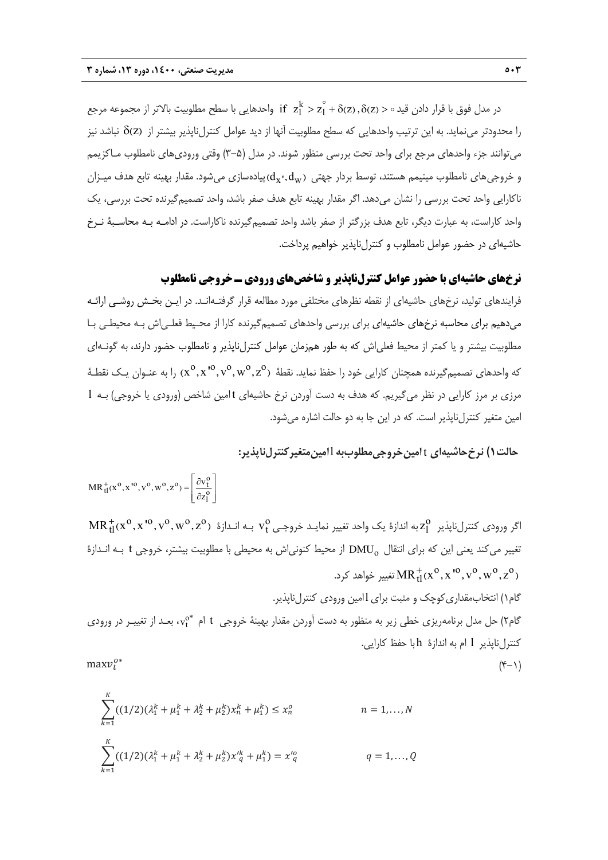در مدل فوق با قرار دادن قيد ه $z_1^{\circ}$  ( z  $z_1^{\circ}$  +  $z_1^{\circ}$  +  $z_1^{\circ}$  +  $z_1^{\circ}$  +  $\delta$ (z) ,  $\delta$ (z) > د مجموعه مرجع را محدودتر مينمايد. به اين ترتيب واحدهايي كه سطح مطلوبيت آنها از ديد عوامل كنترلiپذير بيشتر از  $\delta$ (z) نباشد نيز ميتوانند جزء واحدهاي مرجع براي واحد تحت بررسي منظور شوند. در مدل (3-5) وقتي وروديهاي نامطلوب مـاكزيمم و خروجي هاي نامطلوب مينيمم هستند، توسط بردار جهتي  $d_{x}$  ,  $d_{w}$ يادهسازي مي شود. مقدار بهينه تابع هدف ميـزان ناكارايي واحد تحت بررسي را نشان ميدهد. اگر مقدار بهينه تابع هدف صفر باشد، واحد تصميمگيرنده تحت بررسي، يك واحد كاراست، به عبارت ديگر، تابع هدف بزرگتر از صفر باشد واحد تصميمگيرنده ناكاراست. در ادامـه بـه محاسـبة نـرخ حاشيهاي در حضور عوامل نامطلوب و كنترلناپذير خواهيم پرداخت.

**نرخهاي حاشيهاي با حضور عوامل كنترلناپذير و شاخصهاي ورودي ـ خروجي نامطلوب** 

فرايندهاي توليد، نرخهاي حاشيهاي از نقطه نظرهاي مختلفي مورد مطالعه قرار گرفتـهانـد. در ايـن بخـش روشـي ارائـه ميدهيم براي محاسبه نرخهاي حاشيهاي براي بررسي واحدهاي تصميمگيرنده كارا از محـيط فعلـياش بـه محيطـي بـا مطلوبيت بيشتر و يا كمتر از محيط فعلياش كه به طور همزمان عوامل كنترلناپذير و نامطلوب حضور دارند، به گونـهاي که واحدهای تصمیمگیرنده همچنان کارایی خود را حفظ نماید. نقطهٔ  $\rm{x}^0,\rm{v}^0,\rm{v}^0,\rm{v}^0,\rm{v}^0,\rm{v}^0$  را به عنـوان یـک نقطـهٔ مرزي بر مرز كارايي در نظر ميگيريم. كه هدف به دست آوردن نرخ حاشيهاي t امين شاخص (ورودي يا خروجي) بـه l امين متغير كنترلناپذير است. كه در اين جا به دو حالت اشاره ميشود.

**حالت1 ) نرخحاشيهاي** t **امينخروجيمطلوببه** l**امينمتغيركنترلناپذير:** 

$$
MR_{tl}^{+}(x^{0}, x^{10}, v^{0}, w^{0}, z^{0}) = \left[\frac{\partial v_{t}^{0}}{\partial z_{l}^{0}}\right]
$$

 ${\rm MR}^+_{\rm tl}$ (x $^{\rm o}, {\rm x}^{\rm ~ro}, {\rm v}^{\rm ~o}, {\rm w}^{\rm ~o}, {\rm z}^{\rm ~o})$  كر ورودي كنترلناپذير  ${\rm z}_1^{\rm o}$  به اندازة بك واحد تغيير نمايـد خروجـي  ${\rm v}_1^{\rm ~o}$  بـه انـدازة ( تغيير مى كند يعني اين كه براي انتقال DMU<sub>o</sub> از محيط كنوني اش به محيطي با مطلوبيت بيشتر، خروجي t بـه انـدازة تغيير خواهد كرد.  $\mathrm{MR}^+_{\text{tl}}$  تغيير خواهد كرد.

گام1) انتخابمقداريكوچك و مثبت برايlامين ورودي كنترلناپذير. گام۲) حل مدل برنامهريزي خطي زير به منظور به دست آوردن مقدار بهينهٔ خروجي t ام \*vc، بعـد از تغييـر در ورودي كنترلناپذير l ام به اندازة h با حفظ كارايي.  $\max v_t^{o*}$  (\*–1)

$$
maxv_t
$$

$$
\sum_{k=1}^{K} ((1/2)(\lambda_1^k + \mu_1^k + \lambda_2^k + \mu_2^k) x_n^k + \mu_1^k) \le x_n^o \qquad n = 1,..., N
$$
  

$$
\sum_{k=1}^{K} ((1/2)(\lambda_1^k + \mu_1^k + \lambda_2^k + \mu_2^k) x'^k + \mu_1^k) = x'^o_q \qquad q = 1,..., Q
$$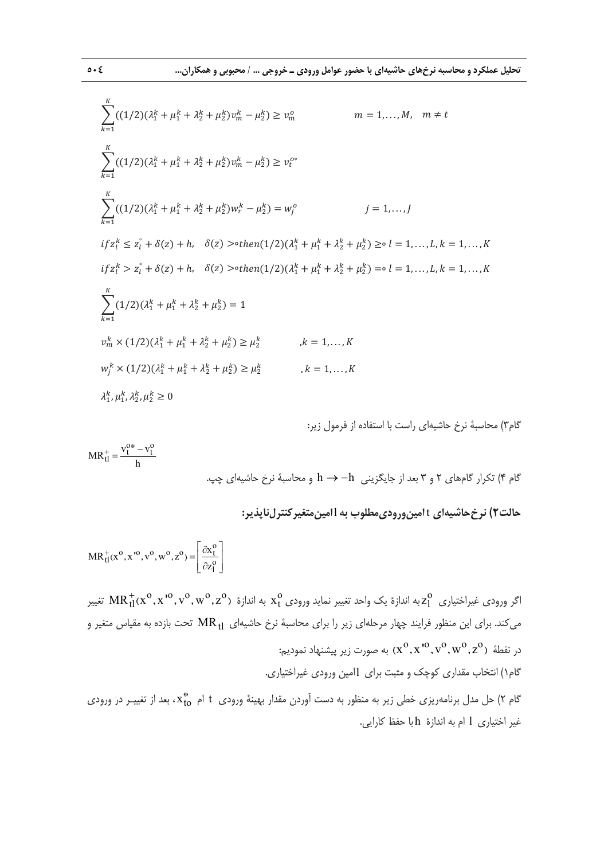$$
\sum_{k=1}^{K} ((1/2)(\lambda_{1}^{k} + \mu_{1}^{k} + \lambda_{2}^{k} + \mu_{2}^{k})v_{m}^{k} - \mu_{2}^{k}) \ge v_{m}^{o}
$$
\n
$$
m = 1,...,M, \quad m \ne t
$$
\n
$$
\sum_{k=1}^{K} ((1/2)(\lambda_{1}^{k} + \mu_{1}^{k} + \lambda_{2}^{k} + \mu_{2}^{k})v_{m}^{k} - \mu_{2}^{k}) \ge v_{t}^{o*}
$$
\n
$$
\sum_{k=1}^{K} ((1/2)(\lambda_{1}^{k} + \mu_{1}^{k} + \lambda_{2}^{k} + \mu_{2}^{k})w_{r}^{k} - \mu_{2}^{k}) = w_{j}^{o}
$$
\n
$$
j = 1,...,J
$$
\n
$$
if z_{i}^{k} \le z_{i}^{{\circ} + \delta(z) + h, \quad \delta(z) > \text{other}(1/2)(\lambda_{1}^{k} + \mu_{1}^{k} + \lambda_{2}^{k} + \mu_{2}^{k}) \ge \text{o} \quad l = 1,...,L, k = 1,...,K
$$
\n
$$
if z_{i}^{k} > z_{i}^{\circ} + \delta(z) + h, \quad \delta(z) > \text{other}(1/2)(\lambda_{1}^{k} + \mu_{1}^{k} + \lambda_{2}^{k} + \mu_{2}^{k}) = \text{o} \quad l = 1,...,L, k = 1,...,K
$$
\n
$$
\sum_{k=1}^{K} (1/2)(\lambda_{1}^{k} + \mu_{1}^{k} + \lambda_{2}^{k} + \mu_{2}^{k}) = 1
$$
\n
$$
v_{m}^{k} \times (1/2)(\lambda_{1}^{k} + \mu_{1}^{k} + \lambda_{2}^{k} + \mu_{2}^{k}) \ge \mu_{2}^{k}
$$
\n
$$
k = 1,...,K
$$
\n
$$
w_{j}^{k} \times (1/2)(\lambda_{1}^{k} + \mu_{1}^{k} + \lambda_{2}^{k} + \mu_{2}^{k}) \ge \mu_{2}^{k}
$$
\n
$$
k = 1,...,K
$$
\n
$$
\lambda_{1}^{k}, \mu_{1}^{k}, \lambda_{2
$$

گام٣) محاسبة نرخ حاشيهاي راست با استفاده از فرمول زير:

 $MR_{tl}^{+} = \frac{v_t^{0*} - v_t^{0}}{h}$ 

گام 4 ) تكرار گامهاي 2 و 3 بعد از جايگزيني h h و محاسبة نرخ حاشيهاي چپ.

**حالت2) نرخحاشيهاي** t **امينوروديمطلوب به** l**امينمتغيركنترلناپذير:** 

$$
MR_{tl}^{+}(x^0, x^{10}, v^0, w^0, z^0) = \left[\frac{\partial x_l^0}{\partial z_l^0}\right]
$$

گر ورودي غيراختياري  $z^0_1$ به اندازهٔ يک واحد تغيير نمايد ورودي  $x^0_t$  به اندازهٔ  $\mathrm{MR}^+_{\mathrm{tl}}$  ( $x^0_\mathrm{r}$  ،  $z^0_\mathrm{rl}$  ) تغيير می کند. برای این منظور فرایند چهار مرحلهای زیر را برای محاسبهٔ نرخ حاشیهای  $\mathrm{MR_{\,fl}}$  تحت بازده به مقیاس متغیر و در نقطهٔ  ${\rm v}^{\rm o}, {\rm v}^{\rm o}, {\rm v}^{\rm o}, {\rm v}^{\rm o}, {\rm v}^{\rm o}, {\rm v}^{\rm o}, {\rm v}^{\rm o}, {\rm v}^{\rm o}, {\rm z}^{\rm o}$  در نقطهٔ گام1) انتخاب مقداري كوچك و مثبت براي lامين ورودي غيراختياري. گام ۲) حل مدل برنامهريزي خطي زير به منظور به دست آوردن مقدار بهينهٔ ورودي t ام k\*، بعد از تغييـر در ورودي غير اختياري l ام به اندازة h با حفظ كارايي.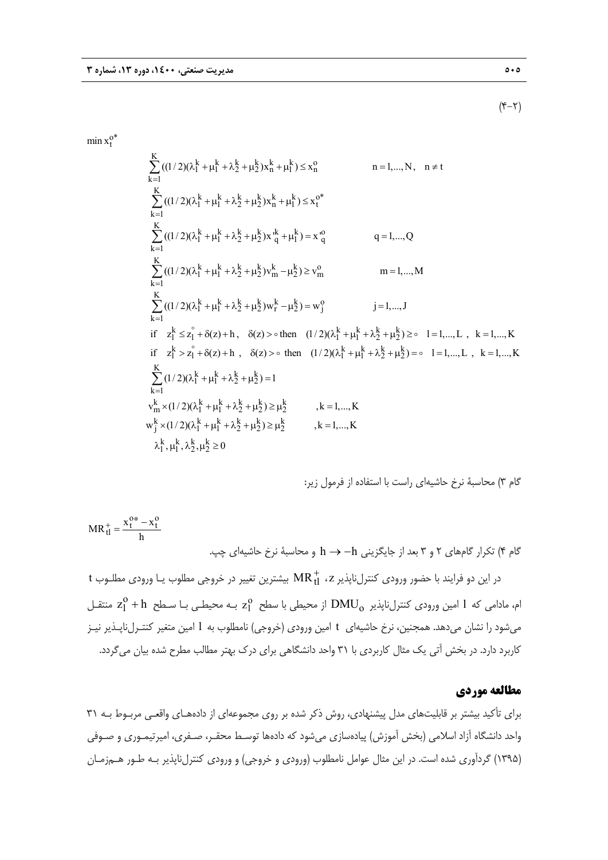$$
(\mathbf{Y}-\mathbf{Y})
$$

 $\min x_t^{0^*}$ 

$$
\sum_{k=1}^{K} ((1/2)(\lambda_{1}^{k} + \mu_{1}^{k} + \lambda_{2}^{k} + \mu_{2}^{k})x_{n}^{k} + \mu_{1}^{k}) \leq x_{n}^{o} \qquad n = 1,..., N, \quad n \neq t
$$
\n
$$
\sum_{k=1}^{K} ((1/2)(\lambda_{1}^{k} + \mu_{1}^{k} + \lambda_{2}^{k} + \mu_{2}^{k})x_{n}^{k} + \mu_{1}^{k}) \leq x_{1}^{o*} \qquad n = 1,..., Q
$$
\n
$$
\sum_{k=1}^{K} ((1/2)(\lambda_{1}^{k} + \mu_{1}^{k} + \lambda_{2}^{k} + \mu_{2}^{k})x_{n}^{k} + \mu_{1}^{k}) = x_{q}^{o} \qquad q = 1,..., Q
$$
\n
$$
\sum_{k=1}^{K} ((1/2)(\lambda_{1}^{k} + \mu_{1}^{k} + \lambda_{2}^{k} + \mu_{2}^{k})v_{m}^{k} - \mu_{2}^{k}) \geq v_{m}^{o} \qquad m = 1,..., M
$$
\n
$$
\sum_{k=1}^{K} ((1/2)(\lambda_{1}^{k} + \mu_{1}^{k} + \lambda_{2}^{k} + \mu_{2}^{k})w_{r}^{k} - \mu_{2}^{k}) = w_{j}^{o} \qquad j = 1,..., J
$$
\n
$$
if \quad z_{1}^{k} \leq z_{1}^{s} + \delta(z) + h, \quad \delta(z) > 0 \text{ then } (1/2)(\lambda_{1}^{k} + \mu_{1}^{k} + \lambda_{2}^{k} + \mu_{2}^{k}) \geq 0 \quad l = 1,..., L, \quad k = 1,..., K
$$
\n
$$
if \quad z_{1}^{k} > z_{1}^{s} + \delta(z) + h, \quad \delta(z) > 0 \text{ then } (1/2)(\lambda_{1}^{k} + \mu_{1}^{k} + \lambda_{2}^{k} + \mu_{2}^{k}) = 0 \quad l = 1,..., L, \quad k = 1,..., K
$$
\n
$$
\sum_{k=1}^{K} (1/2)(\lambda_{1}^{k} + \mu_{1}^{k} + \lambda_{2}^{k} + \mu_{2}^{k}) \ge
$$

گام 3) محاسبة نرخ حاشيهاي راست با استفاده از فرمول زير:

$$
MR_{tl}^{+} = \frac{x_l^{0*} - x_l^{0}}{h}
$$
ا
$$
A = \frac{1}{\pi} \sum_{l=1}^{l} \sum_{j=1}^{l} \sum_{j=1}^{l} \sum_{j=1}^{l} \sum_{j=1}^{l} \sum_{j=1}^{l} \sum_{j=1}^{l} \sum_{j=1}^{l} \sum_{j=1}^{l} \sum_{j=1}^{l} \sum_{j=1}^{l} \sum_{j=1}^{l} \sum_{j=1}^{l} \sum_{j=1}^{l} \sum_{j=1}^{l} \sum_{j=1}^{l} \sum_{j=1}^{l} \sum_{j=1}^{l} \sum_{j=1}^{l} \sum_{j=1}^{l} \sum_{j=1}^{l} \sum_{j=1}^{l} \sum_{j=1}^{l} \sum_{j=1}^{l} \sum_{j=1}^{l} \sum_{j=1}^{l} \sum_{j=1}^{l} \sum_{j=1}^{l} \sum_{j=1}^{l} \sum_{j=1}^{l} \sum_{j=1}^{l} \sum_{j=1}^{l} \sum_{j=1}^{l} \sum_{j=1}^{l} \sum_{j=1}^{l} \sum_{j=1}^{l} \sum_{j=1}^{l} \sum_{j=1}^{l} \sum_{j=1}^{l} \sum_{j=1}^{l} \sum_{j=1}^{l} \sum_{j=1}^{l} \sum_{j=1}^{l} \sum_{j=1}^{l} \sum_{j=1}^{l} \sum_{j=1}^{l} \sum_{j=1}^{l} \sum_{j=1}^{l} \sum_{j=1}^{l} \sum_{j=1}^{l} \sum_{j=1}^{l} \sum_{j=1}^{l} \sum_{j=1}^{l} \sum_{j=1}^{l} \sum_{j=1}^{l} \sum_{j=1}^{l} \sum_{j=1}^{l} \sum_{j=1}^{l} \sum_{j=1}^{l} \sum_{j=1}^{l} \sum_{j=1}^{l} \sum_{j=1}^{l} \sum_{j=1}^{l} \sum_{j=1}^{l} \sum_{j=1}^{l} \sum_{j=1}^{l} \sum_{j=1}^{l} \sum_{j=1}^{l} \sum_{j=1}^{l} \sum_{j=1}^{l} \sum_{j=1}^{l} \sum_{j
$$

 ${\rm t}$  در اين دو فرايند با حضور ورودى كنترلiپذير  ${\rm MR}_{{\rm tl}}^+$  ، 2 بيشترين تغيير در خروجى مطلوب يـا ورودى مطلـوب م، مادامی که  $1$  امین ورودی کنترل $\rm{DMU}_0$  از محیطی با سطح  $\rm{z}_l^o$  بـه محیطـی بـا سـطح  $\rm{z}_l^o$  منتقـل ميشود را نشان ميدهد. همجنين، نرخ حاشيهاي t امين ورودي (خروجي) نامطلوب به l امين متغير كنتـرلناپـذير نيـز كاربرد دارد. در بخش آتي يك مثال كاربردي با 31 واحد دانشگاهي براي درك بهتر مطالب مطرح شده بيان ميگردد.

## **مطالعه موردي**

براي تأكيد بيشتر بر قابليتهاي مدل پيشنهادي، روش ذكر شده بر روي مجموعهاي از دادههـاي واقعـي مربـوط بـه 31 واحد دانشگاه آزاد اسلامي (بخش آموزش) پيادهسازي ميشود كه دادهها توسـط محقـر، صـفري، اميرتيمـوري و صـوفي (1395) گردآوري شده است. در اين مثال عوامل نامطلوب (ورودي و خروجي) و ورودي كنترلناپذير بـه طـور هـمزمـان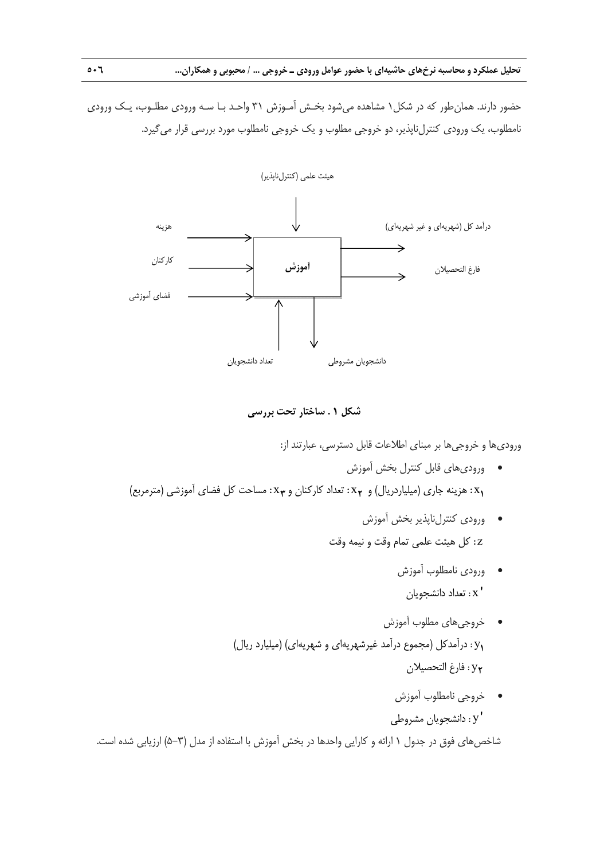حضور دارند. همانطور كه در شكل1 مشاهده ميشود بخـش آمـوزش 31 واحـد بـا سـه ورودي مطلـوب، يـك ورودي نامطلوب، يك ورودي كنترلناپذير، دو خروجي مطلوب و يك خروجي نامطلوب مورد بررسي قرار ميگيرد.



## **شكل 1 . ساختار تحت بررسي**

وروديها و خروجيها بر مبناي اطلاعات قابل دسترسي، عبارتند از:

- وروديهاي قابل كنترل بخش آموزش : مساحت كل فضاي آموزشي (مترمربع) **<sup>3</sup>** : تعداد كاركنان و x **<sup>2</sup>** : هزينه جاري (ميلياردريال) و x **<sup>1</sup>**x
	- ورودي كنترلناپذير بخش آموزش z : كل هيئت علمي تمام وقت و نيمه وقت
		- ورودي نامطلوب آموزش ' x : تعداد دانشجويان
	- خروجيهاي مطلوب آموزش : درآمدكل (مجموع درآمد غيرشهريهاي و شهريهاي) (ميليارد ريال) **1**y : فارغ التحصيلان **<sup>2</sup>**y
		- خروجي نامطلوب آموزش 'y : دانشجويان مشروطي

شاخصهاي فوق در جدول 1 ارائه و كارايي واحدها در بخش آموزش با استفاده از مدل (5-3) ارزيابي شده است.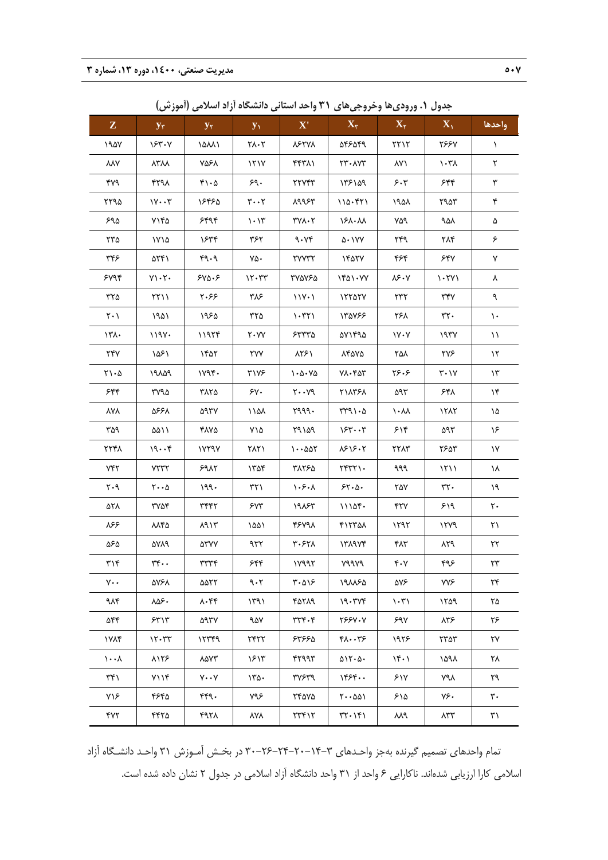| $\mathbf{Z}$                   | $\mathbf{y}_\tau$                   | $y_{\tau}$               | $y_1$                                           | $\mathbf{X}^{\prime}$                               | $\mathbf{X}_{\tau}$                             | $\mathbf{X}_{\mathbf{Y}}$       | $\mathbf{X}_{1}$              | واحدها                 |
|--------------------------------|-------------------------------------|--------------------------|-------------------------------------------------|-----------------------------------------------------|-------------------------------------------------|---------------------------------|-------------------------------|------------------------|
| 190Y                           | 183.4                               | 14441                    | $Y \wedge Y$                                    | <b>VELAY</b>                                        | 58859                                           | $\gamma \gamma \gamma$          | <b>٢۶۶</b> ٧                  | $\lambda$              |
| VVA                            | <b>YAYY</b>                         | ۷۵۶۸                     | 171Y                                            | ۴۴۳۸۱                                               | ٢٣٠٨٧٣                                          | ۸۷۱                             | $\lambda$ 7.                  | ٢                      |
| ۴۷۹                            | ۴۲۹۸                                | $f \wedge \cdot \Delta$  | $\mathop{\mathsf{sq}}\nolimits\boldsymbol\cdot$ | <b>٢٢٧۴٣</b>                                        | 175109                                          | 5.7                             | ۶۴۴                           | ٣                      |
| ۲۲۹۵                           | $1Y \cdot Y$                        | ۱۶۴۶۵                    | $\mathbf{r} \cdot \mathbf{r}$                   | 19954                                               | 110.571                                         | ۱۹۵۸                            | ۲۹۵۳                          | ۴                      |
| ۶۹۵                            | ۷۱۴۵                                | 5599                     | $\mathcal{N} \cdot \mathcal{N}$                 | $\mathsf{r} \mathsf{v} \mathsf{v} \cdot \mathsf{r}$ | 181.11                                          | ٧۵٩                             | ٩۵٨                           | ۵                      |
| ۲۳۵                            | ۱۷۱۵                                | ۱۶۳۴                     | ۳۶۲                                             | 9.74                                                | $\Delta$ + $\Delta$ YY                          | ۲۴۹                             | ۲۸۴                           | ۶                      |
| ۳۴۶                            | ۵۲۴۱                                | $P \cdot P$              | ٧۵٠                                             | <b>TYYTT</b>                                        | $Y^{\alpha}$                                    | ۴۶۴                             | ۶۴۷                           | ٧                      |
| 5495                           | $Y \setminus \cdot Y$               | 540.5                    | $17 - 77$                                       | ۳۷۵۷۶۵                                              | $1501 - YY$                                     | $\lambda$ ۶۰۷                   | $\lambda$ . ۲۷ $\lambda$      | Υ                      |
| $rr\Delta$                     | $\Upsilon\Upsilon$                  | ۲۰۶۶                     | ۳۸۶                                             | $11Y - 1$                                           | 17707V                                          | $\tau\tau\tau$                  | ٣۴٧                           | ٩                      |
| $\mathbf{Y} \cdot \mathbf{V}$  | ۱۹۵۱                                | ۱۹۶۵                     | ۳۲۵                                             | $\lambda$                                           | 1٣۵٧۶۶                                          | ۲۶۸                             | $rrf$ .                       | $\mathcal{L}$          |
| $\mathcal{N}$                  | 1194.                               | 11974                    | $Y \cdot YY$                                    | 55770                                               | ۵۷۱۴۹۵                                          | $V - V$                         | 197V                          | $\setminus$            |
| ۲۴۷                            | ۱۵۶۱                                | ۱۴۵۲                     | ٢٧٧                                             | ۸۲۶۱                                                | ۸۴۵۷۵                                           | ۲۵۸                             | ۲۷۶                           | $\mathcal{N}$          |
| $\gamma \cdot \Delta$          | ۱۹۸۵۹                               | 1194                     | <b>٣١٧۶</b>                                     | $\cdot \Delta \cdot \text{V}\Delta$                 | $Y \wedge \cdot Y \wedge Y$                     | ۲۶۰۶                            | $\mathbf{Y} \cdot \mathbf{V}$ | $\gamma$ ۳             |
| ۶۴۴                            | ۳۷۹۵                                | ۳۸۲۵                     | $\gamma$                                        | $Y \cdot Y$ 9                                       | ٢١٨٣۶٨                                          | ۵۹۳                             | ۶۴۸                           | $\lambda_{\mathbf{k}}$ |
| <b>YAY</b>                     | 5668                                | ۵۹۳۷                     | ۱۱۵۸                                            | 1999.                                               | rr91.0                                          | $\lambda \cdot \lambda \lambda$ | 1517                          | ١۵                     |
| ۳۵۹                            | ۵۵۱۱                                | ۴۸۷۵                     | ۷۱۵                                             | 19109                                               | 154.4                                           | ۶۱۴                             | ۵۹۳                           | ۱۶                     |
| 7741                           | 19.56                               | 1YY9Y                    | ۲۸۲۱                                            | $1 - \Delta\Delta\Upsilon$                          | 1818.1                                          | YYAY                            | ٢۶۵٣                          | ١٧                     |
| $Y^*Y$                         | $Y^{\dagger}Y^{\dagger}Y$           | 59AY                     | ۱۳۵۴                                            | ۳۸۲۶۵                                               | $YYYY \cdot$                                    | ٩٩٩                             | 1511                          | ۱۸                     |
| $\mathbf{y} \cdot \mathbf{y}$  | $\mathbf{Y} \cdot \cdot \mathbf{A}$ | 199.                     | ۳۲۱                                             | $\lambda \cdot \xi \cdot \lambda$                   | 55.0                                            | ٢۵٧                             | $rrf$ .                       | ۱۹                     |
| ۵۲۸                            | ۳۷۵۴                                | ٣۴۴٢                     | 5.04                                            | ۱۹۸۶۳                                               | 1110f                                           | ۴۲۷                             | ۶۱۹                           | $\mathsf{r}\cdot$      |
| ۶۶                             | ۸۸۴۵                                | 117                      | ۱۵۵۱                                            | 48791                                               | 417701                                          | 1597                            | 1549                          | ۲۱                     |
| ۵۶۵                            | ۵۷۸۹                                | ۵۳۷۷                     | ۹۳۲                                             | ٣٠۶٢٨                                               | 171977                                          | ۴۸۳                             | 159                           | ۲۲                     |
| $\mathbf{y} \wedge \mathbf{y}$ | $rr \cdot$                          | $\tau\tau\tau\tau$       | ۶۴۴                                             | 11997                                               | Y99Y9                                           | $\mathbf{r} \cdot \mathbf{v}$   | ۴۹۶                           | $\mathbf{Y}\mathbf{Y}$ |
| $v \cdot$                      | ۵۷۶۸                                | ۵۵۲۲                     | ۹۰۲                                             | $\mathbf{y} \cdot \mathbf{y}$                       | 191180                                          | ۵۷۶                             | <b>۷۷۶</b>                    | ۲۴                     |
| ۹۸۴                            | ۸۵۶۰                                | $\lambda \cdot \kappa$ ۴ | ۱۳۹۱                                            | 40719                                               | 19.777                                          | $\langle \cdot, \cdot \rangle$  | 1509                          | ۲۵                     |
| ۵۴۴                            | $55^{\circ}$                        | ۵۹۳۷                     | ۹۵۷                                             | $rrr \cdot r$                                       | 7887.7                                          | ۶۹۷                             | ۸۳۶                           | ۲۶                     |
| ۱۷۸۴                           | 17.77                               | 15799                    | 7477                                            | ۶۳۶۶۵                                               | ۴۸۰۰۳۶                                          | ۱۹۲۶                            | ۲۳۵۳                          | ٢٧                     |
| $\lambda \cdot \cdot \lambda$  | 8118                                | ۸۵۷۳                     | ۱۶۱۳                                            | ۴۲۹۹۳                                               | 015.0.                                          | 16.1                            | ۱۵۹۸                          | ٢٨                     |
| ۳۴۱                            | $Y \setminus Y$                     | $V \cdot V$              | $150 -$                                         | ٣٧۶٣٩                                               | ۱۴۶۴۰۰                                          | ۶۱۷                             | ۷۹۸                           | ٢٩                     |
| ٧١۶                            | ۴۶۴۵                                | ۴۴۹۰                     | ٧٩۶                                             | ۲۴۵۷۵                                               | ۲۰۰۵۵۱                                          | ۶۱۵                             | ٧۶۰                           | ٣٠                     |
| ۴۷۲                            | ۴۴۲۵                                | ۴۹۲۸                     | <b>YAY</b>                                      | ٢٣٣١٢                                               | $\uparrow\uparrow\cdot\uparrow\uparrow\uparrow$ | ۸۸۹                             | ۸۳۳                           | ۳۱                     |

**جدول .1 ورودي ها وخروجيهاي 31 واحد استاني دانشگاه آزاد اسلامي (آموزش)** 

تمام واحدهاي تصميم گيرنده بهجز واحـدهاي 30-26-24-20-14-3 در بخـش آمـوزش 31 واحـد دانشـگاه آزاد اسلامي كارا ارزيابي شدهاند. ناكارايي 6 واحد از 31 واحد دانشگاه آزاد اسلامي در جدول 2 نشان داده شده است.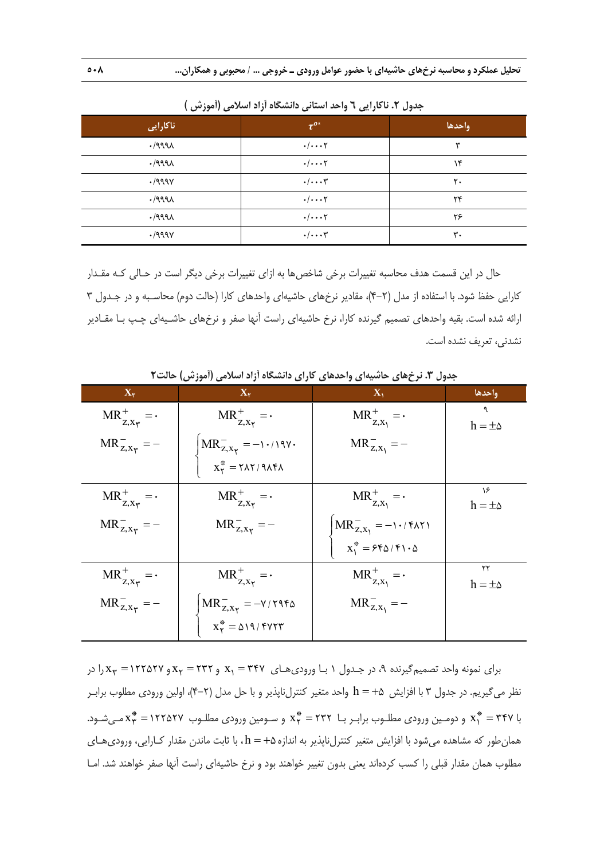| ناكارايى              | $\tau^{o*}$            | واحدها |
|-----------------------|------------------------|--------|
| .1999                 | $\cdot/\cdots$ ۲       | س      |
| .1999                 | $\cdot/\cdots$ ۲       | ۱۴     |
| .1999V                | $\cdot/\cdots$ ۳       | ٢٠     |
| .1999                 | $\cdot/\cdot\cdot\tau$ | ٢۴     |
| .1999                 | $\cdot/\cdot\cdot\tau$ | ۲۶     |
| $\cdot$ /999 $\gamma$ | $\cdot/\cdots$ ۳       | ٣٠     |

**جدول .2 ناكارايي 6 واحد استاني دانشگاه آزاد اسلامي (آموزش )** 

حال در اين قسمت هدف محاسبه تغييرات برخي شاخص ها به ازاي تغييرات برخي ديگر است در حـالي كـه مقـدار كارايي حفظ شود. با استفاده از مدل (4-2)، مقادير نرخهاي حاشيهاي واحدهاي كارا (حالت دوم) محاسـبه و در جـدول 3 ارائه شده است. بقيه واحدهاي تصميم گيرنده كارا، نرخ حاشيهاي راست آنها صفر و نرخهاي حاشـيهاي چـپ بـا مقـادير نشدني، تعريف نشده است.

| $X_{r}$                                  | $X_{\gamma}$                                                                            | $\mathbf{X}_1$                        | واحدها                 |
|------------------------------------------|-----------------------------------------------------------------------------------------|---------------------------------------|------------------------|
| $MR_{z,x_{\tau}}^{+} = \cdot$            | $MR_{Z, X_{\tau}}^{+} = \cdot$                                                          | $MR_{z,x_1}^+ = \cdot$                | ٩<br>$h = \pm \Delta$  |
| $MR_{Z, X_{\tilde{\tau}}}^- = -$         | $MR_{Z, X_{\Upsilon}}^- = -1.719V$<br>$X_Y^* = Y\Lambda Y / 9\Lambda Y\Lambda$          | $MR_{Z,X_1}^- = -$                    |                        |
|                                          |                                                                                         |                                       |                        |
| $MR_{Z, X_{\tilde{\Upsilon}}}^+ = \cdot$ | $MR_{Z, X_{\tau}}^{+} = \cdot$                                                          | $MR_{Z,X_1}^+ = \cdot$                | ۱۶<br>$h = \pm \Delta$ |
| $MR_{Z, X_{\tau}}^- = -$                 | $MR_{Z, X_{\tau}}^{-} = -$                                                              | $MR_{Z,X_1}^- = -1.7$ (\$\\omega^{1}) |                        |
|                                          |                                                                                         | $X_1^* = 56/51.0$                     |                        |
| $MR_{z,x_{\tau}}^{+}$ = $\cdot$          | $MR_{z,x_{\gamma}}^{+} = \cdot$                                                         | $MR_{z,x_1}^+ = \cdot$                | ۲۲<br>$h = \pm \Delta$ |
| $MR_{Z, X_{\tilde{\tau}}}^- = -$         | $\label{eq:MRZ} \text{MR}_{\text{Z},\text{X}_\text{Y}}^- = -\text{Y}/\text{Y9f} \Delta$ | $MR_{Z,X_1}^- = -$                    |                        |
|                                          | $X^*_{\tau} = \Delta 19/5V$                                                             |                                       |                        |

**جدول .3 نرخهاي حاشيهاي واحدهاي كاراي دانشگاه آزاد اسلامي (آموزش) حالت2** 

برای نمونه واحد تصمیم گیرنده ۹، در جـدول ۱ بـا ورودیهـای  $x_1 = r r$  و  $x_1 = x_1$  و ۱۲۲۵۲۷ =  $x_2$ را در نظر ميگيريم. در جدول 3 با افزايش 5 h واحد متغير كنترلناپذير و با حل مدل (4-2)، اولين ورودي مطلوب برابـر با ۳۴۷ =  $x_1^* = x_1^* = x_1^* = x_1^* = x_1^* = x_1^* = x_1^* = x_1^* = x_1^* = x_1^* = x_1^* = x_1^* = x_1^* = x_1^* = x_1^* = x_1^* = x_1^* = x_1^* = x_1^* = x_1^* = x_1^* = x_1^* = x_1^* = x_1^* = x_1^* = x_1^* = x_1^* = x_1^* = x_1^* = x_1^* = x_1^* = x_1^* = x_1^* = x_1^* = x_1^* =$ همانطور كه مشاهده ميشود با افزايش متغير كنترلناپذير به اندازه5 h ، با ثابت ماندن مقدار كـارايي، وروديهـاي مطلوب همان مقدار قبلي را كسب كردهاند يعني بدون تغيير خواهند بود و نرخ حاشيهاي راست آنها صفر خواهند شد. امـا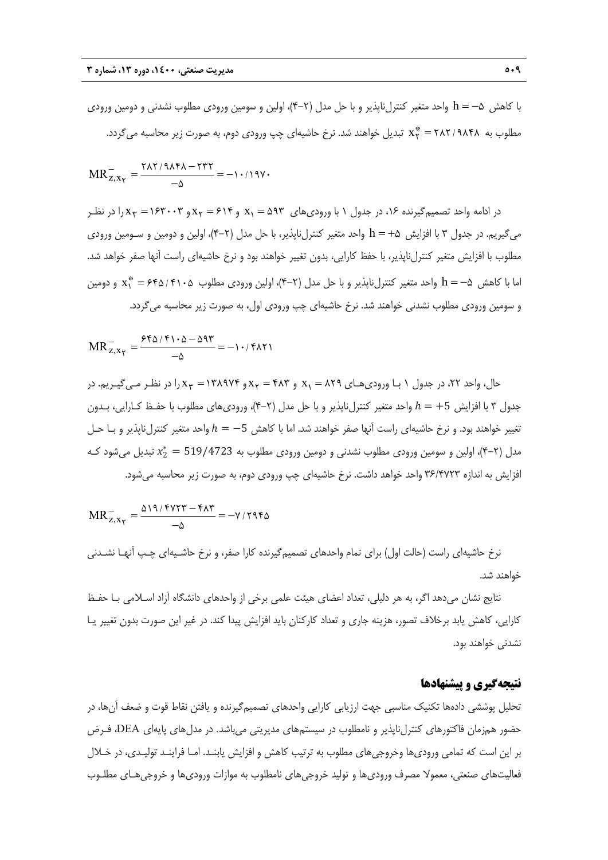با كاهش 5 h واحد متغير كنترلناپذير و با حل مدل (4-2)، اولين و سومين ورودي مطلوب نشدني و دومين ورودي مطلوب به ۲۸۴۱/۹۸۴۸ تبدیل خواهند شد. نرخ حاشیهای چپ ورودی دوم، به صورت زیر محاسبه میگردد.

$$
MR_{z,x_{\gamma}}^{-} = \frac{\Upsilon \lambda \Upsilon / 9 \lambda \Upsilon \lambda - \Upsilon \Upsilon \Upsilon}{-\Delta} = -1.719 \Upsilon \cdot
$$

در ادامه واحد تصميم گيرنده ۱۶، در جدول ۱ با ورودي هاي  $x_1 = 0$  و  $x_1 = 8$  و  $x_1 = 1$  و  $x_1 = 1$  در نظـر ميگيريم. در جدول 3 با افزايش 5 h واحد متغير كنترلناپذير، با حل مدل (4-2)، اولين و دومين و سـومين ورودي مطلوب با افزايش متغير كنترلناپذير، با حفظ كارايي، بدون تغيير خواهند بود و نرخ حاشيهاي راست آنها صفر خواهد شد. ما با كاهش  $\lambda^*=-\ln |\alpha|$  واحد متغير كنترلناپذير و با حل مدل (٢–۴)، اولين ورودي مطلوب  $x^*_1=s$  11۰۵ و دومين و سومين ورودي مطلوب نشدني خواهند شد. نرخ حاشيهاي چپ ورودي اول، به صورت زير محاسبه ميگردد.

$$
MR_{Z,X_{\Upsilon}}^{-} = \frac{\mathcal{F} \mathfrak{h} \Delta / \mathfrak{f} \mathfrak{t} \cdot \Delta - \Delta \mathfrak{q} \mathfrak{r}}{-\Delta} = -1 \cdot / \mathfrak{f} \Delta \mathfrak{r}
$$

حال، واحد ٢٢، در جدول ١ بـا ورودي هـاي ٢٨٩ = x و x و x 2 x و ١٣٨٩٧٤ = x را در نظـر مـي گيـريم. در جدول ۳ با افزايش 5+ $t=1$  واحد متغير كنترلiپذير و با حل مدل (۲–۴)، ورودي<code>هاي</code> مطلوب با حفـظ كـارايي، بـدون تغيير خواهند بود. و نرخ حاشيهاي راست آنها صفر خواهند شد. اما با كاهش −5 = ℎ واحد متغير كنترلناپذير و بـا حـل مدل (۲−۴)، اولین و سومین ورودی مطلوب نشدنی و دومین ورودی مطلوب به 519/4723 =  $x_2^* = x_2^* = x_1$  تبدیل میشود کـه افزايش به اندازه 36/4723 واحد خواهد داشت. نرخ حاشيهاي چپ ورودي دوم، به صورت زير محاسبه ميشود.

$$
MR_{Z,X_{\Upsilon}}^{-} = \frac{\Delta 19/5 \Upsilon \Upsilon - 6 \Delta \Upsilon}{-\Delta} = -\Upsilon / 595 \Delta
$$

نرخ حاشيهاي راست (حالت اول) براي تمام واحدهاي تصميمگيرنده كارا صفر، و نرخ حاشـيهاي چـپ آنهـا نشـدني خواهند شد.

نتايج نشان ميدهد اگر، به هر دليلي، تعداد اعضاي هيئت علمي برخي از واحدهاي دانشگاه آزاد اسـلامي بـا حفـظ كارايي، كاهش يابد برخلاف تصور، هزينه جاري و تعداد كاركنان بايد افزايش پيدا كند. در غير اين صورت بدون تغيير يـا نشدني خواهند بود.

## **نتيجهگيري و پيشنهادها**

تحليل پوششي دادهها تكنيك مناسبي جهت ارزيابي كارايي واحدهاي تصميمگيرنده و يافتن نقاط قوت و ضعف آنها، در حضور همزمان فاكتورهاي كنترلناپذير و نامطلوب در سيستمهاي مديريتي ميباشد. در مدلهاي پايهاي DEA، فـرض بر اين است كه تمامي وروديها وخروجيهاي مطلوب به ترتيب كاهش و افزايش يابنـد. امـا فراينـد توليـدي، در خـلال فعاليتهاي صنعتي، معمولا مصرف وروديها و توليد خروجيهاي نامطلوب به موازات وروديها و خروجيهـاي مطلـوب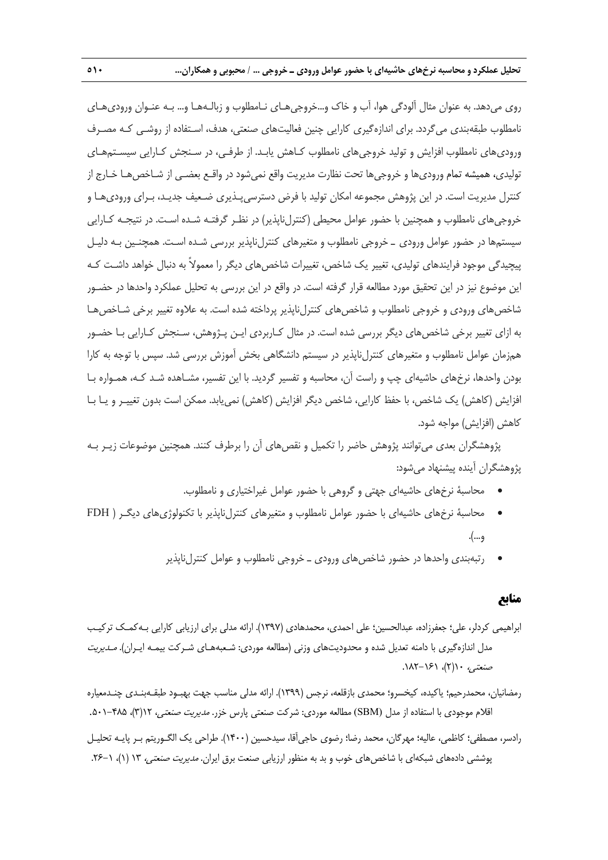روي ميدهد. به عنوان مثال آلودگي هوا، آب و خاك و...خروجيهـاي نـامطلوب و زبالـههـا و... بـه عنـوان وروديهـاي نامطلوب طبقهبندي ميگردد. براي اندازهگيري كارايي چنين فعاليتهاي صنعتي، هدف، اسـتفاده از روشـي كـه مصـرف وروديهاي نامطلوب افزايش و توليد خروجيهاي نامطلوب كـاهش يابـد. از طرفـي، در سـنجش كـارايي سيسـتمهـاي توليدي، هميشه تمام وروديها و خروجيها تحت نظارت مديريت واقع نميشود در واقـع بعضـي از شـاخصهـا خـارج از كنترل مديريت است. در اين پژوهش مجموعه امكان توليد با فرض دسترسيپـذيري ضـعيف جديـد، بـراي وروديهـا و خروجيهاي نامطلوب و همچنين با حضور عوامل محيطي (كنترلناپذير) در نظـر گرفتـه شـده اسـت. در نتيجـه كـارايي سيستمها در حضور عوامل ورودي ـ خروجي نامطلوب و متغيرهاي كنترلناپذير بررسي شـده اسـت. همچنـين بـه دليـل پيچيدگي موجود فرايندهاي توليدي، تغيير يك شاخص، تغييرات شاخصهاي ديگر را معمولاً به دنبال خواهد داشـت كـه اين موضوع نيز در اين تحقيق مورد مطالعه قرار گرفته است. در واقع در اين بررسي به تحليل عملكرد واحدها در حضـور شاخص هاي ورودي و خروجي نامطلوب و شاخص هاي كنترلiپايذير پرداخته شده است. به علاوه تغيير برخي شـاخص هـا به ازاي تغيير برخي شاخصهاي ديگر بررسي شده است. در مثال كـاربردي ايـن پـژوهش، سـنجش كـارايي بـا حضـور همزمان عوامل نامطلوب و متغيرهاي كنترلناپذير در سيستم دانشگاهي بخش آموزش بررسي شد. سپس با توجه به كارا بودن واحدها، نرخهاي حاشيهاي چپ و راست آن، محاسبه و تفسير گرديد. با اين تفسير، مشـاهده شـد كـه، همـواره بـا افزايش (كاهش) يك شاخص، با حفظ كارايي، شاخص ديگر افزايش (كاهش) نمييابد. ممكن است بدون تغييـر و يـا بـا كاهش (افزايش) مواجه شود.

پژوهشگران بعدي ميتوانند پژوهش حاضر را تكميل و نقصهاي آن را برطرف كنند. همچنين موضوعات زيـر بـه پژوهشگران آينده پيشنهاد ميشود:

- محاسبة نرخهاي حاشيهاي جهتي و گروهي با حضور عوامل غيراختياري و نامطلوب.
- محاسبة نرخهاي حاشيهاي با حضور عوامل نامطلوب و متغيرهاي كنترلناپذير با تكنولوژيهاي ديگـر ( FDH و...).
	- رتبهبندي واحدها در حضور شاخص هاي ورودي ـ خروجي نامطلوب و عوامل كنترل ناپذير

#### **منابع**

- ابراهيمي كردلر، علي؛ جعفرزاده، عبدالحسين؛ علي احمدي، محمدهادي (1397). ارائه مدلي براي ارزيابي كارايي بـهكمـك تركيـب مدل اندازهگيري با دامنه تعديل شده و محدوديتهاي وزني (مطالعه موردي: شـعبههـاي شـركت بيمـه ايـران). مـديريت صنعتي، ١(٢)، ١٤١-١٨٢.
- رمضانيان، محمدرحيم؛ ياكيده، كيخسرو؛ محمدي بازقلعه، نرجس (1399). ارائه مدلي مناسب جهت بهبـود طبقـهبنـدي چنـدمعياره اقلام موجودي با استفاده از مدل (SBM) مطالعه موردي: شركت صنعتي پارس خزر. *مديريت صنعتي،* ١٢(٣)، ٢٠٨٥-٥٠١.
- رادسر، مصطفي؛ كاظمي، عاليه؛ مهرگان، محمد رضا؛ رضوي حاجيآقا، سيدحسين (1400). طراحي يك الگـوريتم بـر پايـه تحليـل پوششي دادههاي شبكهاي با شاخصهاي خوب و بد به منظور ارزيابي صنعت برق ايران. *مديريت صنعتي،* ١٣ (١)، ١-٢۶.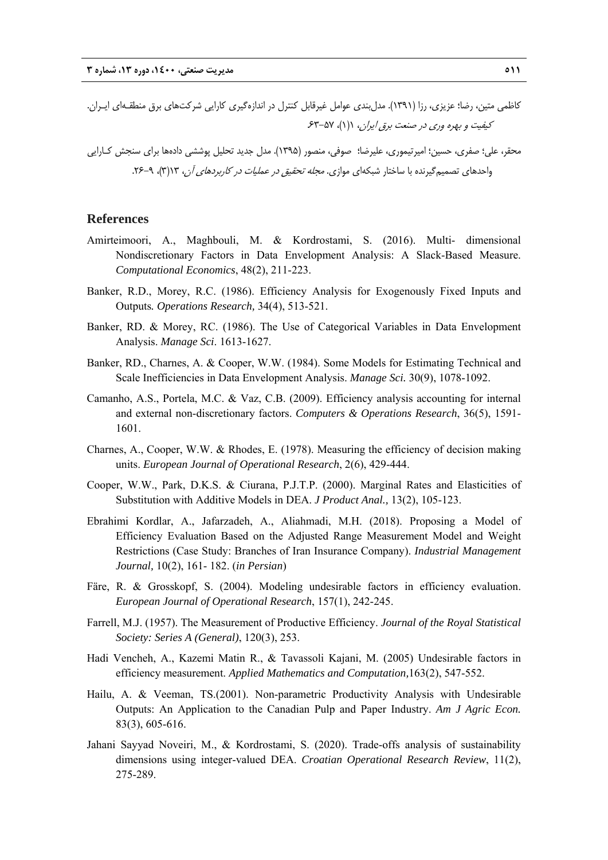- كاظمي متين، رضا؛ عزيزي، رزا (1391). مدلبندي عوامل غيرقابل كنترل در اندازهگيري كارايي شركتهاي برق منطقـهاي ايـران. كيفيت و بهره وري در صنعت برق ايران، ١(١)، ٥٧-۶٣
- محقر، علي؛ صفري، حسين؛ اميرتيموري، عليرضا؛ صوفي، منصور (1395). مدل جديد تحليل پوششي دادهها براي سنجش كـارايي واحدهاي تصميم گيرنده با ساختار شبكهاي موازي. *مجله تحقيق در عمليات در كاربردهاي آن*، ١٣(٣)، ٩-٢۶.

## **References**

- Amirteimoori, A., Maghbouli, M. & Kordrostami, S. (2016). Multi- dimensional Nondiscretionary Factors in Data Envelopment Analysis: A Slack-Based Measure. *Computational Economics*, 48(2), 211-223.
- Banker, R.D., Morey, R.C. (1986). Efficiency Analysis for Exogenously Fixed Inputs and Outputs*. Operations Research,* 34(4), 513-521.
- Banker, RD. & Morey, RC. (1986). The Use of Categorical Variables in Data Envelopment Analysis. *Manage Sci*. 1613-1627.
- Banker, RD., Charnes, A. & Cooper, W.W. (1984). Some Models for Estimating Technical and Scale Inefficiencies in Data Envelopment Analysis. *Manage Sci.* 30(9), 1078-1092.
- Camanho, A.S., Portela, M.C. & Vaz, C.B. (2009). Efficiency analysis accounting for internal and external non-discretionary factors. *Computers & Operations Research*, 36(5), 1591- 1601.
- Charnes, A., Cooper, W.W. & Rhodes, E. (1978). Measuring the efficiency of decision making units. *European Journal of Operational Research*, 2(6), 429-444.
- Cooper, W.W., Park, D.K.S. & Ciurana, P.J.T.P. (2000). Marginal Rates and Elasticities of Substitution with Additive Models in DEA. *J Product Anal.,* 13(2), 105-123.
- Ebrahimi Kordlar, A., Jafarzadeh, A., Aliahmadi, M.H. (2018). Proposing a Model of Efficiency Evaluation Based on the Adjusted Range Measurement Model and Weight Restrictions (Case Study: Branches of Iran Insurance Company). *Industrial Management Journal,* 10(2), 161- 182. (*in Persian*)
- Färe, R. & Grosskopf, S. (2004). Modeling undesirable factors in efficiency evaluation. *European Journal of Operational Research*, 157(1), 242-245.
- Farrell, M.J. (1957). The Measurement of Productive Efficiency. *Journal of the Royal Statistical Society: Series A (General)*, 120(3), 253.
- Hadi Vencheh, A., Kazemi Matin R., & Tavassoli Kajani, M. (2005) Undesirable factors in efficiency measurement. *Applied Mathematics and Computation,*163(2), 547-552.
- Hailu, A. & Veeman, TS.(2001). Non-parametric Productivity Analysis with Undesirable Outputs: An Application to the Canadian Pulp and Paper Industry. *Am J Agric Econ.* 83(3), 605-616.
- Jahani Sayyad Noveiri, M., & Kordrostami, S. (2020). Trade-offs analysis of sustainability dimensions using integer-valued DEA. *Croatian Operational Research Review*, 11(2), 275-289.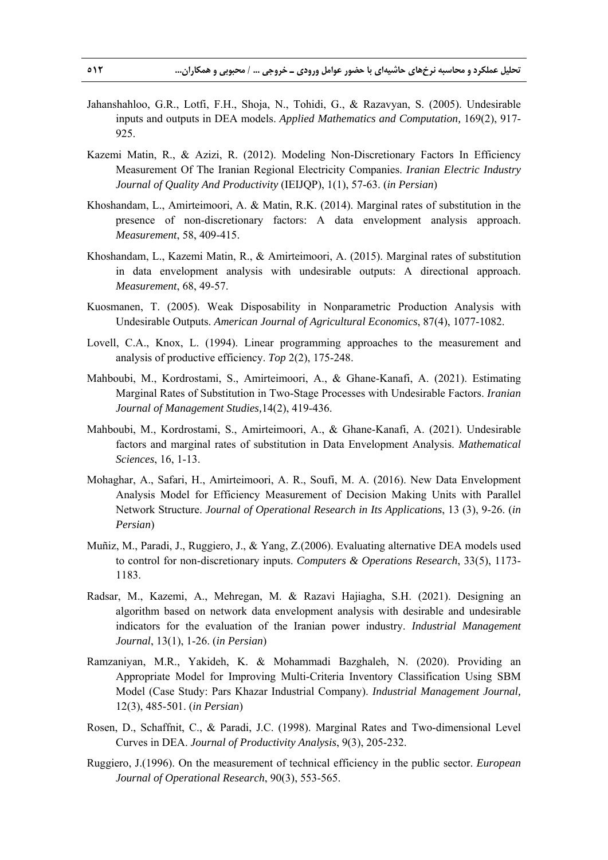- Jahanshahloo, G.R., Lotfi, F.H., Shoja, N., Tohidi, G., & Razavyan, S. (2005). Undesirable inputs and outputs in DEA models. *Applied Mathematics and Computation,* 169(2), 917- 925.
- Kazemi Matin, R., & Azizi, R. (2012). Modeling Non-Discretionary Factors In Efficiency Measurement Of The Iranian Regional Electricity Companies. *Iranian Electric Industry Journal of Quality And Productivity* (IEIJQP), 1(1), 57-63. (*in Persian*)
- Khoshandam, L., Amirteimoori, A. & Matin, R.K. (2014). Marginal rates of substitution in the presence of non-discretionary factors: A data envelopment analysis approach. *Measurement*, 58, 409-415.
- Khoshandam, L., Kazemi Matin, R., & Amirteimoori, A. (2015). Marginal rates of substitution in data envelopment analysis with undesirable outputs: A directional approach. *Measurement*, 68, 49-57.
- Kuosmanen, T. (2005). Weak Disposability in Nonparametric Production Analysis with Undesirable Outputs. *American Journal of Agricultural Economics*, 87(4), 1077-1082.
- Lovell, C.A., Knox, L. (1994). Linear programming approaches to the measurement and analysis of productive efficiency. *Top* 2(2), 175-248.
- Mahboubi, M., Kordrostami, S., Amirteimoori, A., & Ghane-Kanafi, A. (2021). Estimating Marginal Rates of Substitution in Two-Stage Processes with Undesirable Factors. *Iranian Journal of Management Studies,*14(2), 419-436.
- Mahboubi, M., Kordrostami, S., Amirteimoori, A., & Ghane-Kanafi, A. (2021). Undesirable factors and marginal rates of substitution in Data Envelopment Analysis. *Mathematical Sciences*, 16, 1-13.
- Mohaghar, A., Safari, H., Amirteimoori, A. R., Soufi, M. A. (2016). New Data Envelopment Analysis Model for Efficiency Measurement of Decision Making Units with Parallel Network Structure. *Journal of Operational Research in Its Applications*, 13 (3), 9-26. (*in Persian*)
- Muñiz, M., Paradi, J., Ruggiero, J., & Yang, Z.(2006). Evaluating alternative DEA models used to control for non-discretionary inputs. *Computers & Operations Research*, 33(5), 1173- 1183.
- Radsar, M., Kazemi, A., Mehregan, M. & Razavi Hajiagha, S.H. (2021). Designing an algorithm based on network data envelopment analysis with desirable and undesirable indicators for the evaluation of the Iranian power industry. *Industrial Management Journal*, 13(1), 1-26. (*in Persian*)
- Ramzaniyan, M.R., Yakideh, K. & Mohammadi Bazghaleh, N. (2020). Providing an Appropriate Model for Improving Multi-Criteria Inventory Classification Using SBM Model (Case Study: Pars Khazar Industrial Company). *Industrial Management Journal,* 12(3), 485-501. (*in Persian*)
- Rosen, D., Schaffnit, C., & Paradi, J.C. (1998). Marginal Rates and Two-dimensional Level Curves in DEA. *Journal of Productivity Analysis*, 9(3), 205-232.
- Ruggiero, J.(1996). On the measurement of technical efficiency in the public sector. *European Journal of Operational Research*, 90(3), 553-565.